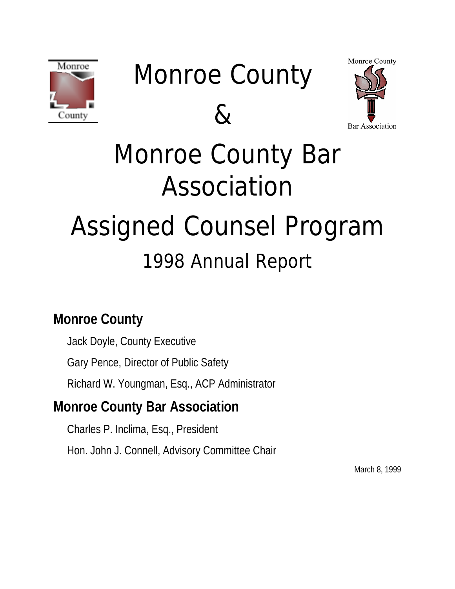

# Monroe County





# Monroe County Bar Association Assigned Counsel Program 1998 Annual Report

# **Monroe County**

Jack Doyle, County Executive

Gary Pence, Director of Public Safety

Richard W. Youngman, Esq., ACP Administrator

# **Monroe County Bar Association**

Charles P. Inclima, Esq., President Hon. John J. Connell, Advisory Committee Chair

March 8, 1999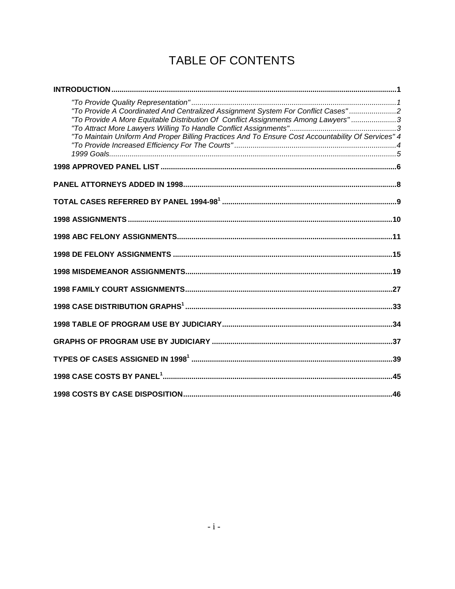### TABLE OF CONTENTS

| "To Provide A Coordinated And Centralized Assignment System For Conflict Cases"2<br>"To Provide A More Equitable Distribution Of Conflict Assignments Among Lawyers"3<br>"To Maintain Uniform And Proper Billing Practices And To Ensure Cost Accountability Of Services" 4 |  |
|-----------------------------------------------------------------------------------------------------------------------------------------------------------------------------------------------------------------------------------------------------------------------------|--|
|                                                                                                                                                                                                                                                                             |  |
|                                                                                                                                                                                                                                                                             |  |
|                                                                                                                                                                                                                                                                             |  |
|                                                                                                                                                                                                                                                                             |  |
|                                                                                                                                                                                                                                                                             |  |
|                                                                                                                                                                                                                                                                             |  |
|                                                                                                                                                                                                                                                                             |  |
|                                                                                                                                                                                                                                                                             |  |
|                                                                                                                                                                                                                                                                             |  |
|                                                                                                                                                                                                                                                                             |  |
|                                                                                                                                                                                                                                                                             |  |
|                                                                                                                                                                                                                                                                             |  |
|                                                                                                                                                                                                                                                                             |  |
|                                                                                                                                                                                                                                                                             |  |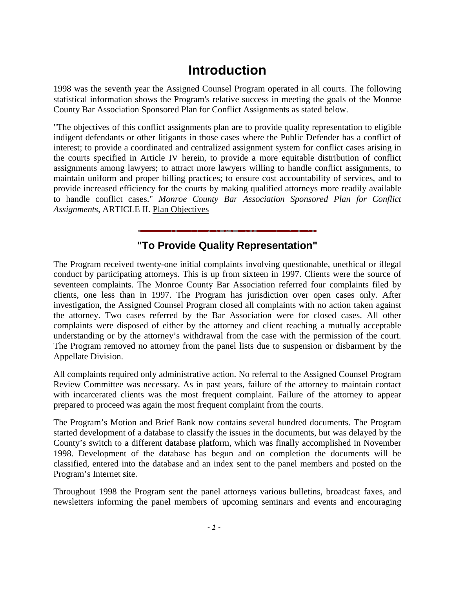### **Introduction**

<span id="page-2-0"></span>1998 was the seventh year the Assigned Counsel Program operated in all courts. The following statistical information shows the Program's relative success in meeting the goals of the Monroe County Bar Association Sponsored Plan for Conflict Assignments as stated below.

"The objectives of this conflict assignments plan are to provide quality representation to eligible indigent defendants or other litigants in those cases where the Public Defender has a conflict of interest; to provide a coordinated and centralized assignment system for conflict cases arising in the courts specified in Article IV herein, to provide a more equitable distribution of conflict assignments among lawyers; to attract more lawyers willing to handle conflict assignments, to maintain uniform and proper billing practices; to ensure cost accountability of services, and to provide increased efficiency for the courts by making qualified attorneys more readily available to handle conflict cases." *Monroe County Bar Association Sponsored Plan for Conflict Assignments*, ARTICLE II. Plan Objectives

### **"To Provide Quality Representation"**

The Program received twenty-one initial complaints involving questionable, unethical or illegal conduct by participating attorneys. This is up from sixteen in 1997. Clients were the source of seventeen complaints. The Monroe County Bar Association referred four complaints filed by clients, one less than in 1997. The Program has jurisdiction over open cases only. After investigation, the Assigned Counsel Program closed all complaints with no action taken against the attorney. Two cases referred by the Bar Association were for closed cases. All other complaints were disposed of either by the attorney and client reaching a mutually acceptable understanding or by the attorney's withdrawal from the case with the permission of the court. The Program removed no attorney from the panel lists due to suspension or disbarment by the Appellate Division.

All complaints required only administrative action. No referral to the Assigned Counsel Program Review Committee was necessary. As in past years, failure of the attorney to maintain contact with incarcerated clients was the most frequent complaint. Failure of the attorney to appear prepared to proceed was again the most frequent complaint from the courts.

The Program's Motion and Brief Bank now contains several hundred documents. The Program started development of a database to classify the issues in the documents, but was delayed by the County's switch to a different database platform, which was finally accomplished in November 1998. Development of the database has begun and on completion the documents will be classified, entered into the database and an index sent to the panel members and posted on the Program's Internet site.

Throughout 1998 the Program sent the panel attorneys various bulletins, broadcast faxes, and newsletters informing the panel members of upcoming seminars and events and encouraging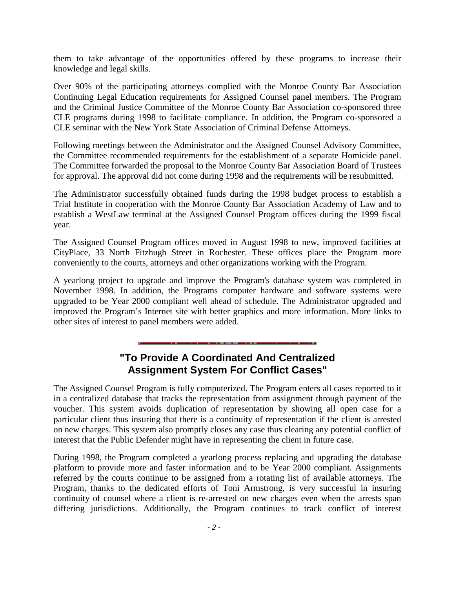<span id="page-3-0"></span>them to take advantage of the opportunities offered by these programs to increase their knowledge and legal skills.

Over 90% of the participating attorneys complied with the Monroe County Bar Association Continuing Legal Education requirements for Assigned Counsel panel members. The Program and the Criminal Justice Committee of the Monroe County Bar Association co-sponsored three CLE programs during 1998 to facilitate compliance. In addition, the Program co-sponsored a CLE seminar with the New York State Association of Criminal Defense Attorneys.

Following meetings between the Administrator and the Assigned Counsel Advisory Committee, the Committee recommended requirements for the establishment of a separate Homicide panel. The Committee forwarded the proposal to the Monroe County Bar Association Board of Trustees for approval. The approval did not come during 1998 and the requirements will be resubmitted.

The Administrator successfully obtained funds during the 1998 budget process to establish a Trial Institute in cooperation with the Monroe County Bar Association Academy of Law and to establish a WestLaw terminal at the Assigned Counsel Program offices during the 1999 fiscal year.

The Assigned Counsel Program offices moved in August 1998 to new, improved facilities at CityPlace, 33 North Fitzhugh Street in Rochester. These offices place the Program more conveniently to the courts, attorneys and other organizations working with the Program.

A yearlong project to upgrade and improve the Program's database system was completed in November 1998. In addition, the Programs computer hardware and software systems were upgraded to be Year 2000 compliant well ahead of schedule. The Administrator upgraded and improved the Program's Internet site with better graphics and more information. More links to other sites of interest to panel members were added.

### **"To Provide A Coordinated And Centralized Assignment System For Conflict Cases"**

The Assigned Counsel Program is fully computerized. The Program enters all cases reported to it in a centralized database that tracks the representation from assignment through payment of the voucher. This system avoids duplication of representation by showing all open case for a particular client thus insuring that there is a continuity of representation if the client is arrested on new charges. This system also promptly closes any case thus clearing any potential conflict of interest that the Public Defender might have in representing the client in future case.

During 1998, the Program completed a yearlong process replacing and upgrading the database platform to provide more and faster information and to be Year 2000 compliant. Assignments referred by the courts continue to be assigned from a rotating list of available attorneys. The Program, thanks to the dedicated efforts of Toni Armstrong, is very successful in insuring continuity of counsel where a client is re-arrested on new charges even when the arrests span differing jurisdictions. Additionally, the Program continues to track conflict of interest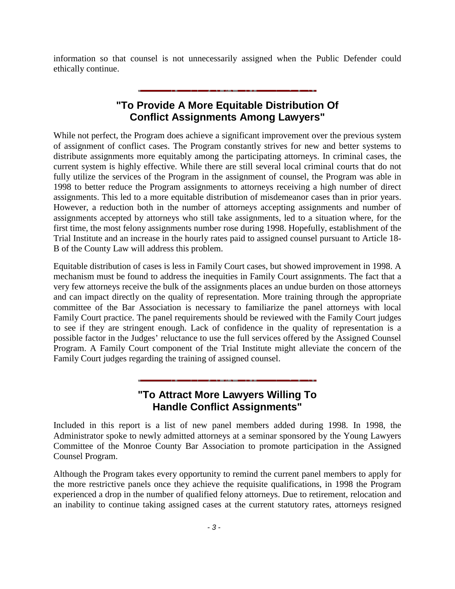<span id="page-4-0"></span>information so that counsel is not unnecessarily assigned when the Public Defender could ethically continue.

### **"To Provide A More Equitable Distribution Of Conflict Assignments Among Lawyers"**

While not perfect, the Program does achieve a significant improvement over the previous system of assignment of conflict cases. The Program constantly strives for new and better systems to distribute assignments more equitably among the participating attorneys. In criminal cases, the current system is highly effective. While there are still several local criminal courts that do not fully utilize the services of the Program in the assignment of counsel, the Program was able in 1998 to better reduce the Program assignments to attorneys receiving a high number of direct assignments. This led to a more equitable distribution of misdemeanor cases than in prior years. However, a reduction both in the number of attorneys accepting assignments and number of assignments accepted by attorneys who still take assignments, led to a situation where, for the first time, the most felony assignments number rose during 1998. Hopefully, establishment of the Trial Institute and an increase in the hourly rates paid to assigned counsel pursuant to Article 18- B of the County Law will address this problem.

Equitable distribution of cases is less in Family Court cases, but showed improvement in 1998. A mechanism must be found to address the inequities in Family Court assignments. The fact that a very few attorneys receive the bulk of the assignments places an undue burden on those attorneys and can impact directly on the quality of representation. More training through the appropriate committee of the Bar Association is necessary to familiarize the panel attorneys with local Family Court practice. The panel requirements should be reviewed with the Family Court judges to see if they are stringent enough. Lack of confidence in the quality of representation is a possible factor in the Judges' reluctance to use the full services offered by the Assigned Counsel Program. A Family Court component of the Trial Institute might alleviate the concern of the Family Court judges regarding the training of assigned counsel.

### **"To Attract More Lawyers Willing To Handle Conflict Assignments"**

Included in this report is a list of new panel members added during 1998. In 1998, the Administrator spoke to newly admitted attorneys at a seminar sponsored by the Young Lawyers Committee of the Monroe County Bar Association to promote participation in the Assigned Counsel Program.

Although the Program takes every opportunity to remind the current panel members to apply for the more restrictive panels once they achieve the requisite qualifications, in 1998 the Program experienced a drop in the number of qualified felony attorneys. Due to retirement, relocation and an inability to continue taking assigned cases at the current statutory rates, attorneys resigned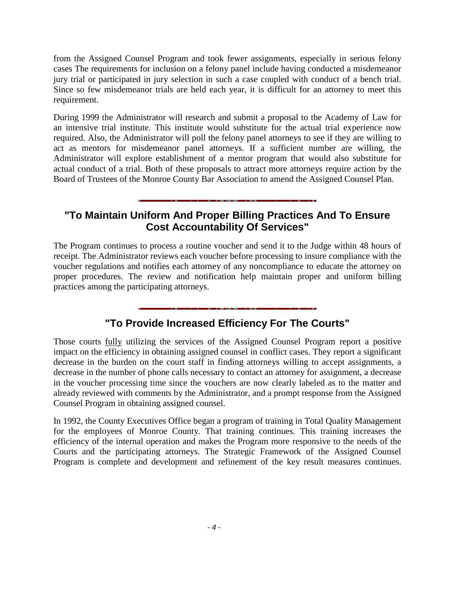<span id="page-5-0"></span>from the Assigned Counsel Program and took fewer assignments, especially in serious felony cases The requirements for inclusion on a felony panel include having conducted a misdemeanor jury trial or participated in jury selection in such a case coupled with conduct of a bench trial. Since so few misdemeanor trials are held each year, it is difficult for an attorney to meet this requirement.

During 1999 the Administrator will research and submit a proposal to the Academy of Law for an intensive trial institute. This institute would substitute for the actual trial experience now required. Also, the Administrator will poll the felony panel attorneys to see if they are willing to act as mentors for misdemeanor panel attorneys. If a sufficient number are willing, the Administrator will explore establishment of a mentor program that would also substitute for actual conduct of a trial. Both of these proposals to attract more attorneys require action by the Board of Trustees of the Monroe County Bar Association to amend the Assigned Counsel Plan.

### **"To Maintain Uniform And Proper Billing Practices And To Ensure Cost Accountability Of Services"**

The Program continues to process a routine voucher and send it to the Judge within 48 hours of receipt. The Administrator reviews each voucher before processing to insure compliance with the voucher regulations and notifies each attorney of any noncompliance to educate the attorney on proper procedures. The review and notification help maintain proper and uniform billing practices among the participating attorneys.

### **"To Provide Increased Efficiency For The Courts"**

Those courts fully utilizing the services of the Assigned Counsel Program report a positive impact on the efficiency in obtaining assigned counsel in conflict cases. They report a significant decrease in the burden on the court staff in finding attorneys willing to accept assignments, a decrease in the number of phone calls necessary to contact an attorney for assignment, a decrease in the voucher processing time since the vouchers are now clearly labeled as to the matter and already reviewed with comments by the Administrator, and a prompt response from the Assigned Counsel Program in obtaining assigned counsel.

In 1992, the County Executives Office began a program of training in Total Quality Management for the employees of Monroe County. That training continues. This training increases the efficiency of the internal operation and makes the Program more responsive to the needs of the Courts and the participating attorneys. The Strategic Framework of the Assigned Counsel Program is complete and development and refinement of the key result measures continues.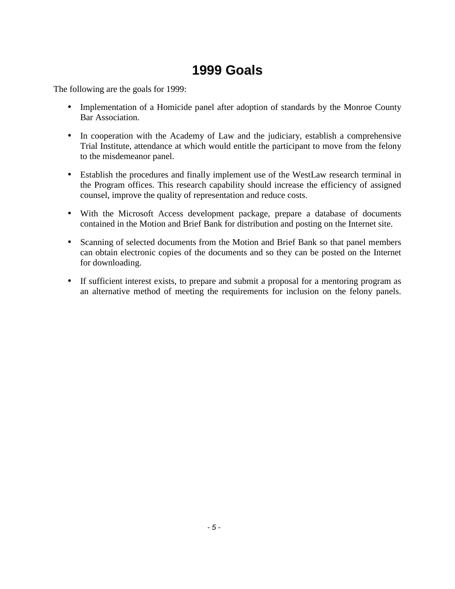### **1999 Goals**

<span id="page-6-0"></span>The following are the goals for 1999:

- Implementation of a Homicide panel after adoption of standards by the Monroe County Bar Association.
- In cooperation with the Academy of Law and the judiciary, establish a comprehensive Trial Institute, attendance at which would entitle the participant to move from the felony to the misdemeanor panel.
- Establish the procedures and finally implement use of the WestLaw research terminal in the Program offices. This research capability should increase the efficiency of assigned counsel, improve the quality of representation and reduce costs.
- With the Microsoft Access development package, prepare a database of documents contained in the Motion and Brief Bank for distribution and posting on the Internet site.
- Scanning of selected documents from the Motion and Brief Bank so that panel members can obtain electronic copies of the documents and so they can be posted on the Internet for downloading.
- If sufficient interest exists, to prepare and submit a proposal for a mentoring program as an alternative method of meeting the requirements for inclusion on the felony panels.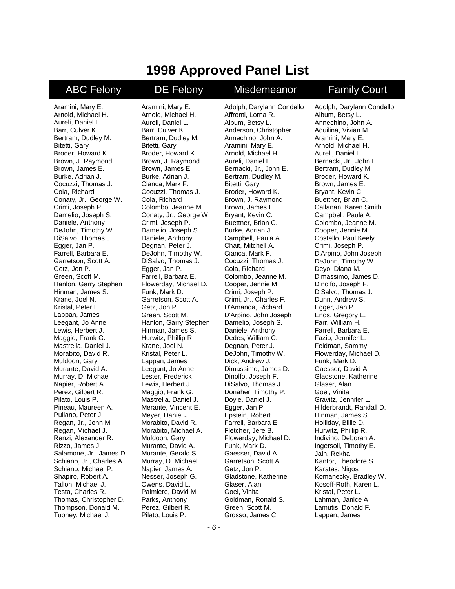### **1998 Approved Panel List**

### <span id="page-7-0"></span>ABC Felony DE Felony Misdemeanor Family Court

Aramini, Mary E. Arnold, Michael H. Aureli, Daniel L. Barr, Culver K. Bertram, Dudley M. Bitetti, Gary Broder, Howard K. Brown, J. Raymond Brown, James E. Burke, Adrian J. Cocuzzi, Thomas J. Coia, Richard Conaty, Jr., George W. Crimi, Joseph P. Damelio, Joseph S. Daniele, Anthony DeJohn, Timothy W. DiSalvo, Thomas J. Egger, Jan P. Farrell, Barbara E. Garretson, Scott A. Getz, Jon P. Green, Scott M. Hanlon, Garry Stephen Hinman, James S. Krane, Joel N. Kristal, Peter L. Lappan, James Leegant, Jo Anne Lewis, Herbert J. Maggio, Frank G. Mastrella, Daniel J. Morabito, David R. Muldoon, Gary Murante, David A. Murray, D. Michael Napier, Robert A. Perez, Gilbert R. Pilato, Louis P. Pineau, Maureen A. Pullano, Peter J. Regan, Jr., John M. Regan, Michael J. Renzi, Alexander R. Rizzo, James J. Salamone, Jr., James D. Schiano, Jr., Charles A. Schiano, Michael P. Shapiro, Robert A. Tallon, Michael J. Testa, Charles R. Thomas, Christopher D. Thompson, Donald M. Tuohey, Michael J.

Aramini, Mary E. Arnold, Michael H. Aureli, Daniel L. Barr, Culver K. Bertram, Dudley M. Bitetti, Gary Broder, Howard K. Brown, J. Raymond Brown, James E. Burke, Adrian J. Cianca, Mark F. Cocuzzi, Thomas J. Coia, Richard Colombo, Jeanne M. Conaty, Jr., George W. Crimi, Joseph P. Damelio, Joseph S. Daniele, Anthony Degnan, Peter J. DeJohn, Timothy W. DiSalvo, Thomas J. Egger, Jan P. Farrell, Barbara E. Flowerday, Michael D. Funk, Mark D. Garretson, Scott A. Getz, Jon P. Green, Scott M. Hanlon, Garry Stephen Hinman, James S. Hurwitz, Phillip R. Krane, Joel N. Kristal, Peter L. Lappan, James Leegant, Jo Anne Lester, Frederick Lewis, Herbert J. Maggio, Frank G. Mastrella, Daniel J. Merante, Vincent E. Meyer, Daniel J. Morabito, David R. Morabito, Michael A. Muldoon, Gary Murante, David A. Murante, Gerald S. Murray, D. Michael Napier, James A. Nesser, Joseph G. Owens, David L. Palmiere, David M. Parks, Anthony Perez, Gilbert R. Pilato, Louis P.

Adolph, Darylann Condello Affronti, Lorna R. Album, Betsy L. Anderson, Christopher Annechino, John A. Aramini, Mary E. Arnold, Michael H. Aureli, Daniel L. Bernacki, Jr., John E. Bertram, Dudley M. Bitetti, Gary Broder, Howard K. Brown, J. Raymond Brown, James E. Bryant, Kevin C. Buettner, Brian C. Burke, Adrian J. Campbell, Paula A. Chait, Mitchell A. Cianca, Mark F. Cocuzzi, Thomas J. Coia, Richard Colombo, Jeanne M. Cooper, Jennie M. Crimi, Joseph P. Crimi, Jr., Charles F. D'Amanda, Richard D'Arpino, John Joseph Damelio, Joseph S. Daniele, Anthony Dedes, William C. Degnan, Peter J. DeJohn, Timothy W. Dick, Andrew J. Dimassimo, James D. Dinolfo, Joseph F. DiSalvo, Thomas J. Donaher, Timothy P. Doyle, Daniel J. Egger, Jan P. Epstein, Robert Farrell, Barbara E. Fletcher, Jere B. Flowerday, Michael D. Funk, Mark D. Gaesser, David A. Garretson, Scott A. Getz, Jon P. Gladstone, Katherine Glaser, Alan Goel, Vinita Goldman, Ronald S. Green, Scott M. Grosso, James C.

Adolph, Darylann Condello Album, Betsy L. Annechino, John A. Aquilina, Vivian M. Aramini, Mary E. Arnold, Michael H. Aureli, Daniel L. Bernacki, Jr., John E. Bertram, Dudley M. Broder, Howard K. Brown, James E. Bryant, Kevin C. Buettner, Brian C. Callanan, Karen Smith Campbell, Paula A. Colombo, Jeanne M. Cooper, Jennie M. Costello, Paul Keely Crimi, Joseph P. D'Arpino, John Joseph DeJohn, Timothy W. Deyo, Diana M. Dimassimo, James D. Dinolfo, Joseph F. DiSalvo, Thomas J. Dunn, Andrew S. Egger, Jan P. Enos, Gregory E. Farr, William H. Farrell, Barbara E. Fazio, Jennifer L. Feldman, Sammy Flowerday, Michael D. Funk, Mark D. Gaesser, David A. Gladstone, Katherine Glaser, Alan Goel, Vinita Gravitz, Jennifer L. Hilderbrandt, Randall D. Hinman, James S. Holliday, Billie D. Hurwitz, Phillip R. Indivino, Deborah A. Ingersoll, Timothy E. Jain, Rekha Kantor, Theodore S. Karatas, Nigos Komanecky, Bradley W. Kosoff-Roth, Karen L. Kristal, Peter L. Lahman, Janice A. Lamutis, Donald F. Lappan, James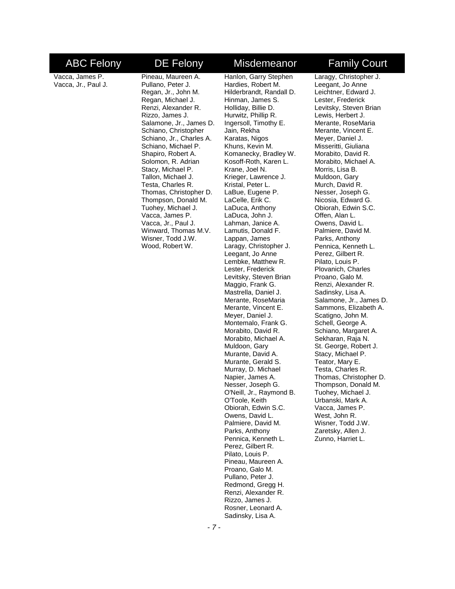Vacca, James P. Vacca, Jr., Paul J.

Shapiro, Robert A. Solomon, R. Adrian Stacy, Michael P. Tallon, Michael J. Testa, Charles R. Thomas, Christopher D. Thompson, Donald M. Tuohey, Michael J. Vacca, James P. Vacca, Jr., Paul J. Winward, Thomas M.V. Wisner, Todd J.W. Wood, Robert W.

Pineau, Maureen A. Pullano, Peter J. Regan, Jr., John M. Regan, Michael J. Renzi, Alexander R. Rizzo, James J. Salamone, Jr., James D. Schiano, Christopher Schiano, Jr., Charles A. Schiano, Michael P. Hanlon, Garry Stephen

Hardies, Robert M. Hilderbrandt, Randall D. Hinman, James S. Holliday, Billie D. Hurwitz, Phillip R. Ingersoll, Timothy E. Jain, Rekha Karatas, Nigos Khuns, Kevin M. Komanecky, Bradley W. Kosoff-Roth, Karen L. Krane, Joel N. Krieger, Lawrence J. Kristal, Peter L. LaBue, Eugene P. LaCelle, Erik C. LaDuca, Anthony LaDuca, John J. Lahman, Janice A. Lamutis, Donald F. Lappan, James Laragy, Christopher J. Leegant, Jo Anne Lembke, Matthew R. Lester, Frederick Levitsky, Steven Brian Maggio, Frank G. Mastrella, Daniel J. Merante, RoseMaria Merante, Vincent E. Meyer, Daniel J. Montemalo, Frank G. Morabito, David R. Morabito, Michael A. Muldoon, Gary Murante, David A. Murante, Gerald S. Murray, D. Michael Napier, James A. Nesser, Joseph G. O'Neill, Jr., Raymond B. O'Toole, Keith Obiorah, Edwin S.C. Owens, David L. Palmiere, David M. Parks, Anthony Pennica, Kenneth L. Perez, Gilbert R. Pilato, Louis P. Pineau, Maureen A. Proano, Galo M. Pullano, Peter J. Redmond, Gregg H. Renzi, Alexander R. Rizzo, James J. Rosner, Leonard A. Sadinsky, Lisa A.

### ABC Felony DE Felony Misdemeanor Family Court

Laragy, Christopher J. Leegant, Jo Anne Leichtner, Edward J. Lester, Frederick Levitsky, Steven Brian Lewis, Herbert J. Merante, RoseMaria Merante, Vincent E. Meyer, Daniel J. Misseritti, Giuliana Morabito, David R. Morabito, Michael A. Morris, Lisa B. Muldoon, Gary Murch, David R. Nesser, Joseph G. Nicosia, Edward G. Obiorah, Edwin S.C. Offen, Alan L. Owens, David L. Palmiere, David M. Parks, Anthony Pennica, Kenneth L. Perez, Gilbert R. Pilato, Louis P. Plovanich, Charles Proano, Galo M. Renzi, Alexander R. Sadinsky, Lisa A. Salamone, Jr., James D. Sammons, Elizabeth A. Scatigno, John M. Schell, George A. Schiano, Margaret A. Sekharan, Raja N. St. George, Robert J. Stacy, Michael P. Teator, Mary E. Testa, Charles R. Thomas, Christopher D. Thompson, Donald M. Tuohey, Michael J. Urbanski, Mark A. Vacca, James P. West, John R. Wisner, Todd J.W. Zaretsky, Allen J. Zunno, Harriet L.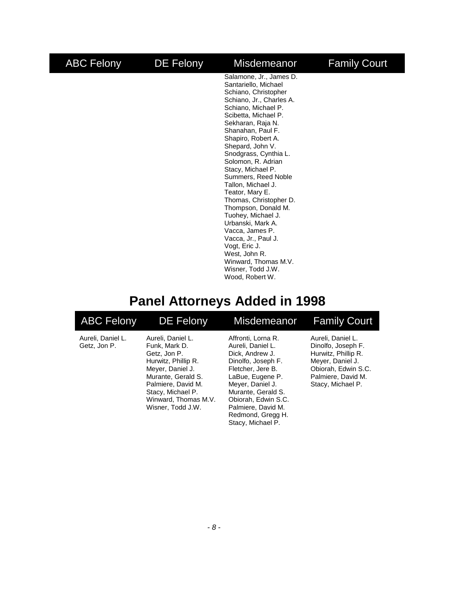### <span id="page-9-0"></span>ABC Felony DE Felony Misdemeanor Family Court Salamone, Jr., James D. Santariello, Michael

Schiano, Christopher Schiano, Jr., Charles A. Schiano, Michael P. Scibetta, Michael P. Sekharan, Raja N. Shanahan, Paul F. Shapiro, Robert A. Shepard, John V. Snodgrass, Cynthia L. Solomon, R. Adrian Stacy, Michael P. Summers, Reed Noble Tallon, Michael J. Teator, Mary E. Thomas, Christopher D. Thompson, Donald M. Tuohey, Michael J. Urbanski, Mark A. Vacca, James P. Vacca, Jr., Paul J. Vogt, Eric J. West, John R. Winward, Thomas M.V. Wisner, Todd J.W. Wood, Robert W.

### **Panel Attorneys Added in 1998**

| <b>ABC Felony</b>                 | <b>DE Felony</b>                                                                                                                                                                                            | Misdemeanor                                                                                                                                                                                                                                                | <b>Family Court</b>                                                                                                                                  |
|-----------------------------------|-------------------------------------------------------------------------------------------------------------------------------------------------------------------------------------------------------------|------------------------------------------------------------------------------------------------------------------------------------------------------------------------------------------------------------------------------------------------------------|------------------------------------------------------------------------------------------------------------------------------------------------------|
| Aureli, Daniel L.<br>Getz, Jon P. | Aureli, Daniel L.<br>Funk, Mark D.<br>Getz. Jon P.<br>Hurwitz, Phillip R.<br>Meyer, Daniel J.<br>Murante, Gerald S.<br>Palmiere, David M.<br>Stacy, Michael P.<br>Winward, Thomas M.V.<br>Wisner, Todd J.W. | Affronti, Lorna R.<br>Aureli, Daniel L.<br>Dick, Andrew J.<br>Dinolfo, Joseph F.<br>Fletcher, Jere B.<br>LaBue, Eugene P.<br>Meyer, Daniel J.<br>Murante, Gerald S.<br>Obiorah, Edwin S.C.<br>Palmiere, David M.<br>Redmond, Gregg H.<br>Stacy, Michael P. | Aureli, Daniel L.<br>Dinolfo, Joseph F.<br>Hurwitz, Phillip R.<br>Meyer, Daniel J.<br>Obiorah, Edwin S.C.<br>Palmiere, David M.<br>Stacy, Michael P. |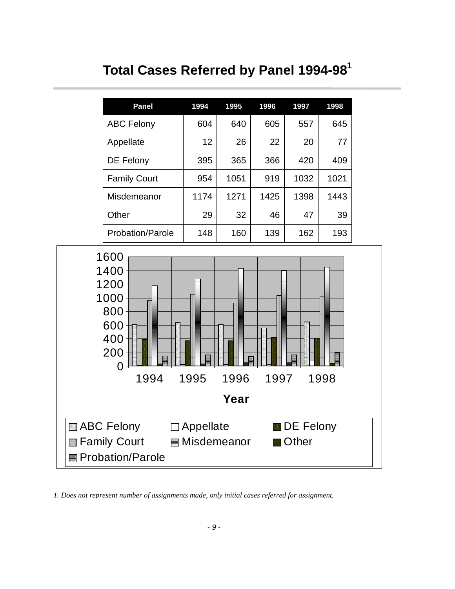# **Total Cases Referred by Panel 1994-981**

<span id="page-10-0"></span>

|                                                                                                               | <b>Panel</b>                                                 | 1994                            | 1995 | 1996 | 1997                      | 1998 |  |  |  |
|---------------------------------------------------------------------------------------------------------------|--------------------------------------------------------------|---------------------------------|------|------|---------------------------|------|--|--|--|
|                                                                                                               | <b>ABC Felony</b>                                            | 604                             | 640  | 605  | 557                       | 645  |  |  |  |
|                                                                                                               | Appellate                                                    | 12                              | 26   | 22   | 20                        | 77   |  |  |  |
|                                                                                                               | DE Felony                                                    | 395                             | 365  | 366  | 420                       | 409  |  |  |  |
|                                                                                                               | <b>Family Court</b>                                          | 954                             | 1051 | 919  | 1032                      | 1021 |  |  |  |
|                                                                                                               | Misdemeanor                                                  | 1174                            | 1271 | 1425 | 1398                      | 1443 |  |  |  |
|                                                                                                               | Other                                                        | 29                              | 32   | 46   | 47                        | 39   |  |  |  |
|                                                                                                               | Probation/Parole                                             | 148                             | 160  | 139  | 162                       | 193  |  |  |  |
| 1600<br>1400<br>1200<br>1000<br>800<br>600<br>400<br>200<br>0<br>1994<br>1995<br>1996<br>1997<br>1998<br>Year |                                                              |                                 |      |      |                           |      |  |  |  |
|                                                                                                               | ABC Felony<br><b>Family Court</b><br><b>Probation/Parole</b> | $\Box$ Appellate<br>Misdemeanor |      |      | <b>DE Felony</b><br>Other |      |  |  |  |

*1. Does not represent number of assignments made, only initial cases referred for assignment.*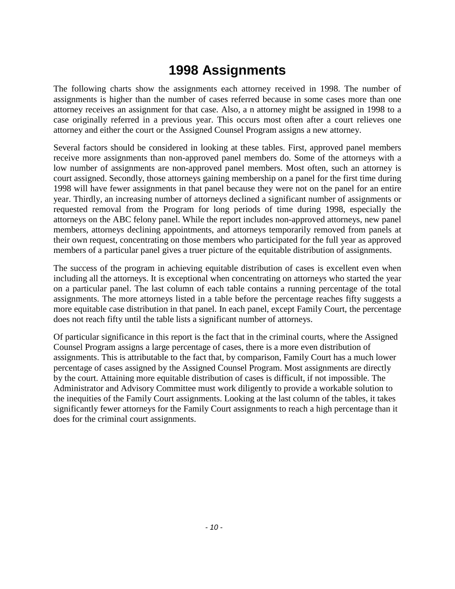### **1998 Assignments**

<span id="page-11-0"></span>The following charts show the assignments each attorney received in 1998. The number of assignments is higher than the number of cases referred because in some cases more than one attorney receives an assignment for that case. Also, a n attorney might be assigned in 1998 to a case originally referred in a previous year. This occurs most often after a court relieves one attorney and either the court or the Assigned Counsel Program assigns a new attorney.

Several factors should be considered in looking at these tables. First, approved panel members receive more assignments than non-approved panel members do. Some of the attorneys with a low number of assignments are non-approved panel members. Most often, such an attorney is court assigned. Secondly, those attorneys gaining membership on a panel for the first time during 1998 will have fewer assignments in that panel because they were not on the panel for an entire year. Thirdly, an increasing number of attorneys declined a significant number of assignments or requested removal from the Program for long periods of time during 1998, especially the attorneys on the ABC felony panel. While the report includes non-approved attorneys, new panel members, attorneys declining appointments, and attorneys temporarily removed from panels at their own request, concentrating on those members who participated for the full year as approved members of a particular panel gives a truer picture of the equitable distribution of assignments.

The success of the program in achieving equitable distribution of cases is excellent even when including all the attorneys. It is exceptional when concentrating on attorneys who started the year on a particular panel. The last column of each table contains a running percentage of the total assignments. The more attorneys listed in a table before the percentage reaches fifty suggests a more equitable case distribution in that panel. In each panel, except Family Court, the percentage does not reach fifty until the table lists a significant number of attorneys.

Of particular significance in this report is the fact that in the criminal courts, where the Assigned Counsel Program assigns a large percentage of cases, there is a more even distribution of assignments. This is attributable to the fact that, by comparison, Family Court has a much lower percentage of cases assigned by the Assigned Counsel Program. Most assignments are directly by the court. Attaining more equitable distribution of cases is difficult, if not impossible. The Administrator and Advisory Committee must work diligently to provide a workable solution to the inequities of the Family Court assignments. Looking at the last column of the tables, it takes significantly fewer attorneys for the Family Court assignments to reach a high percentage than it does for the criminal court assignments.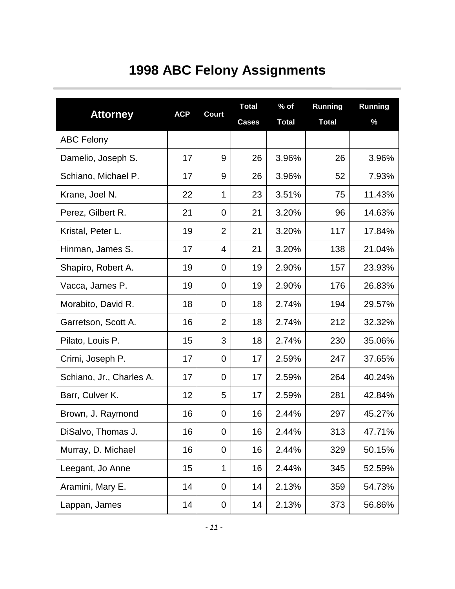# **1998 ABC Felony Assignments**

<span id="page-12-0"></span>

|                          |            |                | <b>Total</b> | $%$ of       | <b>Running</b> | <b>Running</b> |
|--------------------------|------------|----------------|--------------|--------------|----------------|----------------|
| <b>Attorney</b>          | <b>ACP</b> | <b>Court</b>   | <b>Cases</b> | <b>Total</b> | <b>Total</b>   | $\%$           |
| <b>ABC Felony</b>        |            |                |              |              |                |                |
| Damelio, Joseph S.       | 17         | 9              | 26           | 3.96%        | 26             | 3.96%          |
| Schiano, Michael P.      | 17         | 9              | 26           | 3.96%        | 52             | 7.93%          |
| Krane, Joel N.           | 22         | 1              | 23           | 3.51%        | 75             | 11.43%         |
| Perez, Gilbert R.        | 21         | 0              | 21           | 3.20%        | 96             | 14.63%         |
| Kristal, Peter L.        | 19         | $\overline{2}$ | 21           | 3.20%        | 117            | 17.84%         |
| Hinman, James S.         | 17         | 4              | 21           | 3.20%        | 138            | 21.04%         |
| Shapiro, Robert A.       | 19         | 0              | 19           | 2.90%        | 157            | 23.93%         |
| Vacca, James P.          | 19         | 0              | 19           | 2.90%        | 176            | 26.83%         |
| Morabito, David R.       | 18         | 0              | 18           | 2.74%        | 194            | 29.57%         |
| Garretson, Scott A.      | 16         | $\overline{2}$ | 18           | 2.74%        | 212            | 32.32%         |
| Pilato, Louis P.         | 15         | 3              | 18           | 2.74%        | 230            | 35.06%         |
| Crimi, Joseph P.         | 17         | 0              | 17           | 2.59%        | 247            | 37.65%         |
| Schiano, Jr., Charles A. | 17         | 0              | 17           | 2.59%        | 264            | 40.24%         |
| Barr, Culver K.          | 12         | 5              | 17           | 2.59%        | 281            | 42.84%         |
| Brown, J. Raymond        | 16         | 0              | 16           | 2.44%        | 297            | 45.27%         |
| DiSalvo, Thomas J.       | 16         | 0              | 16           | 2.44%        | 313            | 47.71%         |
| Murray, D. Michael       | 16         | 0              | 16           | 2.44%        | 329            | 50.15%         |
| Leegant, Jo Anne         | 15         | 1              | 16           | 2.44%        | 345            | 52.59%         |
| Aramini, Mary E.         | 14         | 0              | 14           | 2.13%        | 359            | 54.73%         |
| Lappan, James            | 14         | 0              | 14           | 2.13%        | 373            | 56.86%         |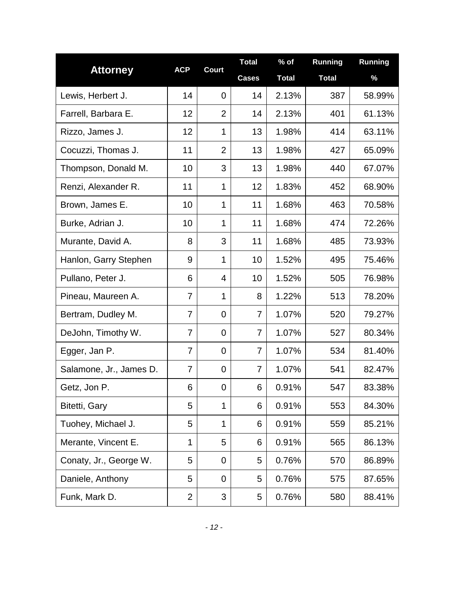|                         |                | <b>Court</b>   | <b>Total</b>   | $%$ of       | <b>Running</b> | <b>Running</b> |
|-------------------------|----------------|----------------|----------------|--------------|----------------|----------------|
| <b>Attorney</b>         | <b>ACP</b>     |                | <b>Cases</b>   | <b>Total</b> | <b>Total</b>   | %              |
| Lewis, Herbert J.       | 14             | $\overline{0}$ | 14             | 2.13%        | 387            | 58.99%         |
| Farrell, Barbara E.     | 12             | $\overline{2}$ | 14             | 2.13%        | 401            | 61.13%         |
| Rizzo, James J.         | 12             | 1              | 13             | 1.98%        | 414            | 63.11%         |
| Cocuzzi, Thomas J.      | 11             | $\overline{2}$ | 13             | 1.98%        | 427            | 65.09%         |
| Thompson, Donald M.     | 10             | 3              | 13             | 1.98%        | 440            | 67.07%         |
| Renzi, Alexander R.     | 11             | $\mathbf 1$    | 12             | 1.83%        | 452            | 68.90%         |
| Brown, James E.         | 10             | 1              | 11             | 1.68%        | 463            | 70.58%         |
| Burke, Adrian J.        | 10             | 1              | 11             | 1.68%        | 474            | 72.26%         |
| Murante, David A.       | 8              | 3              | 11             | 1.68%        | 485            | 73.93%         |
| Hanlon, Garry Stephen   | 9              | $\mathbf 1$    | 10             | 1.52%        | 495            | 75.46%         |
| Pullano, Peter J.       | 6              | 4              | 10             | 1.52%        | 505            | 76.98%         |
| Pineau, Maureen A.      | 7              | $\mathbf{1}$   | 8              | 1.22%        | 513            | 78.20%         |
| Bertram, Dudley M.      | 7              | 0              | 7              | 1.07%        | 520            | 79.27%         |
| DeJohn, Timothy W.      | 7              | 0              | 7              | 1.07%        | 527            | 80.34%         |
| Egger, Jan P.           | $\overline{7}$ | 0              | $\overline{7}$ | 1.07%        | 534            | 81.40%         |
| Salamone, Jr., James D. | $\overline{7}$ | 0              | $\overline{7}$ | 1.07%        | 541            | 82.47%         |
| Getz, Jon P.            | 6              | 0              | 6              | 0.91%        | 547            | 83.38%         |
| Bitetti, Gary           | 5              | 1              | 6              | 0.91%        | 553            | 84.30%         |
| Tuohey, Michael J.      | 5              | 1              | 6              | 0.91%        | 559            | 85.21%         |
| Merante, Vincent E.     | 1              | 5              | 6              | 0.91%        | 565            | 86.13%         |
| Conaty, Jr., George W.  | 5              | 0              | 5              | 0.76%        | 570            | 86.89%         |
| Daniele, Anthony        | 5              | 0              | 5              | 0.76%        | 575            | 87.65%         |
| Funk, Mark D.           | $\overline{2}$ | 3              | 5              | 0.76%        | 580            | 88.41%         |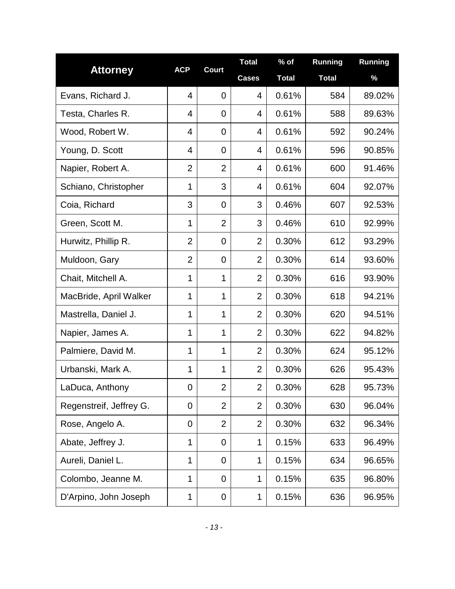|                         | <b>ACP</b>     | Court          | <b>Total</b>   | $%$ of       | <b>Running</b> | Running |
|-------------------------|----------------|----------------|----------------|--------------|----------------|---------|
| <b>Attorney</b>         |                |                | <b>Cases</b>   | <b>Total</b> | <b>Total</b>   | %       |
| Evans, Richard J.       | $\overline{4}$ | $\overline{0}$ | $\overline{4}$ | 0.61%        | 584            | 89.02%  |
| Testa, Charles R.       | 4              | $\overline{0}$ | 4              | 0.61%        | 588            | 89.63%  |
| Wood, Robert W.         | 4              | $\overline{0}$ | 4              | 0.61%        | 592            | 90.24%  |
| Young, D. Scott         | 4              | $\overline{0}$ | $\overline{4}$ | 0.61%        | 596            | 90.85%  |
| Napier, Robert A.       | $\overline{2}$ | $\overline{2}$ | 4              | 0.61%        | 600            | 91.46%  |
| Schiano, Christopher    | 1              | 3              | $\overline{4}$ | 0.61%        | 604            | 92.07%  |
| Coia, Richard           | 3              | $\overline{0}$ | 3              | 0.46%        | 607            | 92.53%  |
| Green, Scott M.         | 1              | $\overline{2}$ | 3              | 0.46%        | 610            | 92.99%  |
| Hurwitz, Phillip R.     | $\overline{2}$ | $\mathbf 0$    | $\overline{2}$ | 0.30%        | 612            | 93.29%  |
| Muldoon, Gary           | $\overline{2}$ | $\mathbf 0$    | $\overline{2}$ | 0.30%        | 614            | 93.60%  |
| Chait, Mitchell A.      | 1              | 1              | $\overline{2}$ | 0.30%        | 616            | 93.90%  |
| MacBride, April Walker  | 1              | 1              | $\overline{2}$ | 0.30%        | 618            | 94.21%  |
| Mastrella, Daniel J.    | 1              | 1              | $\overline{2}$ | 0.30%        | 620            | 94.51%  |
| Napier, James A.        | 1              | 1              | $\overline{2}$ | 0.30%        | 622            | 94.82%  |
| Palmiere, David M.      | 1              | 1              | $\overline{2}$ | 0.30%        | 624            | 95.12%  |
| Urbanski, Mark A.       | 1              | 1              | $\overline{2}$ | 0.30%        | 626            | 95.43%  |
| LaDuca, Anthony         | 0              | $\overline{2}$ | $\overline{2}$ | 0.30%        | 628            | 95.73%  |
| Regenstreif, Jeffrey G. | 0              | $\overline{2}$ | $\overline{2}$ | 0.30%        | 630            | 96.04%  |
| Rose, Angelo A.         | 0              | $\overline{2}$ | $\overline{2}$ | 0.30%        | 632            | 96.34%  |
| Abate, Jeffrey J.       | 1              | $\mathbf 0$    | 1              | 0.15%        | 633            | 96.49%  |
| Aureli, Daniel L.       | $\mathbf 1$    | 0              | 1              | 0.15%        | 634            | 96.65%  |
| Colombo, Jeanne M.      | 1              | $\mathbf 0$    | 1              | 0.15%        | 635            | 96.80%  |
| D'Arpino, John Joseph   | 1              | 0              | 1              | 0.15%        | 636            | 96.95%  |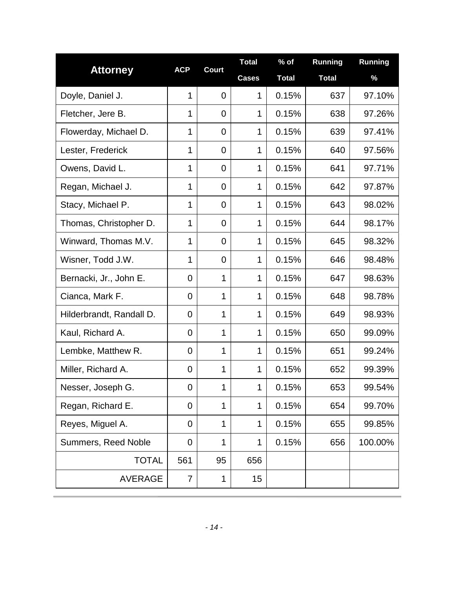|                          | <b>ACP</b>     | <b>Court</b>   | <b>Total</b> | $%$ of       | <b>Running</b> | <b>Running</b> |
|--------------------------|----------------|----------------|--------------|--------------|----------------|----------------|
| <b>Attorney</b>          |                |                | <b>Cases</b> | <b>Total</b> | <b>Total</b>   | %              |
| Doyle, Daniel J.         | 1              | 0              | 1            | 0.15%        | 637            | 97.10%         |
| Fletcher, Jere B.        | 1              | 0              | 1            | 0.15%        | 638            | 97.26%         |
| Flowerday, Michael D.    | 1              | $\overline{0}$ | 1            | 0.15%        | 639            | 97.41%         |
| Lester, Frederick        | 1              | 0              | 1            | 0.15%        | 640            | 97.56%         |
| Owens, David L.          | 1              | 0              | 1            | 0.15%        | 641            | 97.71%         |
| Regan, Michael J.        | 1              | 0              | 1            | 0.15%        | 642            | 97.87%         |
| Stacy, Michael P.        | 1              | $\mathbf 0$    | 1            | 0.15%        | 643            | 98.02%         |
| Thomas, Christopher D.   | $\mathbf 1$    | $\overline{0}$ | 1            | 0.15%        | 644            | 98.17%         |
| Winward, Thomas M.V.     | $\mathbf 1$    | 0              | 1            | 0.15%        | 645            | 98.32%         |
| Wisner, Todd J.W.        | $\mathbf 1$    | 0              | 1            | 0.15%        | 646            | 98.48%         |
| Bernacki, Jr., John E.   | 0              | 1              | 1            | 0.15%        | 647            | 98.63%         |
| Cianca, Mark F.          | 0              | 1              | 1            | 0.15%        | 648            | 98.78%         |
| Hilderbrandt, Randall D. | 0              | $\mathbf 1$    | 1            | 0.15%        | 649            | 98.93%         |
| Kaul, Richard A.         | 0              | 1              | 1            | 0.15%        | 650            | 99.09%         |
| Lembke, Matthew R.       | 0              | 1              | 1            | 0.15%        | 651            | 99.24%         |
| Miller, Richard A.       | $\overline{0}$ | 1              | 1            | 0.15%        | 652            | 99.39%         |
| Nesser, Joseph G.        | $\mathbf 0$    | 1              | 1            | 0.15%        | 653            | 99.54%         |
| Regan, Richard E.        | $\mathbf 0$    | $\mathbf 1$    | 1            | 0.15%        | 654            | 99.70%         |
| Reyes, Miguel A.         | $\mathbf 0$    | 1              | 1            | 0.15%        | 655            | 99.85%         |
| Summers, Reed Noble      | $\mathbf 0$    | 1              | 1            | 0.15%        | 656            | 100.00%        |
| <b>TOTAL</b>             | 561            | 95             | 656          |              |                |                |
| <b>AVERAGE</b>           | 7              | 1              | 15           |              |                |                |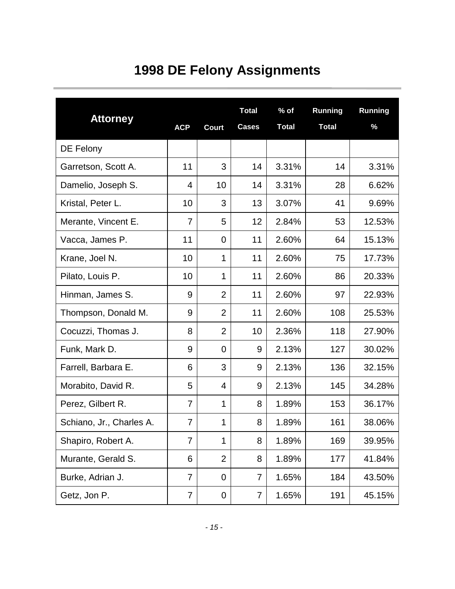# **1998 DE Felony Assignments**

<span id="page-16-0"></span>

| <b>Attorney</b>          | <b>ACP</b>     | <b>Court</b>   | <b>Total</b><br><b>Cases</b> | $%$ of<br><b>Total</b> | Running<br><b>Total</b> | <b>Running</b><br>% |
|--------------------------|----------------|----------------|------------------------------|------------------------|-------------------------|---------------------|
| DE Felony                |                |                |                              |                        |                         |                     |
| Garretson, Scott A.      | 11             | 3              | 14                           | 3.31%                  | 14                      | 3.31%               |
| Damelio, Joseph S.       | 4              | 10             | 14                           | 3.31%                  | 28                      | 6.62%               |
| Kristal, Peter L.        | 10             | 3              | 13                           | 3.07%                  | 41                      | 9.69%               |
| Merante, Vincent E.      | $\overline{7}$ | 5              | 12                           | 2.84%                  | 53                      | 12.53%              |
| Vacca, James P.          | 11             | $\mathbf 0$    | 11                           | 2.60%                  | 64                      | 15.13%              |
| Krane, Joel N.           | 10             | $\mathbf 1$    | 11                           | 2.60%                  | 75                      | 17.73%              |
| Pilato, Louis P.         | 10             | 1              | 11                           | 2.60%                  | 86                      | 20.33%              |
| Hinman, James S.         | 9              | $\overline{2}$ | 11                           | 2.60%                  | 97                      | 22.93%              |
| Thompson, Donald M.      | 9              | $\overline{2}$ | 11                           | 2.60%                  | 108                     | 25.53%              |
| Cocuzzi, Thomas J.       | 8              | $\overline{2}$ | 10                           | 2.36%                  | 118                     | 27.90%              |
| Funk, Mark D.            | 9              | 0              | 9                            | 2.13%                  | 127                     | 30.02%              |
| Farrell, Barbara E.      | 6              | 3              | 9                            | 2.13%                  | 136                     | 32.15%              |
| Morabito, David R.       | 5              | $\overline{4}$ | 9                            | 2.13%                  | 145                     | 34.28%              |
| Perez, Gilbert R.        | $\overline{7}$ | 1              | 8                            | 1.89%                  | 153                     | 36.17%              |
| Schiano, Jr., Charles A. | $\overline{7}$ | 1              | 8                            | 1.89%                  | 161                     | 38.06%              |
| Shapiro, Robert A.       | 7              | $\mathbf 1$    | 8                            | 1.89%                  | 169                     | 39.95%              |
| Murante, Gerald S.       | 6              | $\overline{2}$ | 8                            | 1.89%                  | 177                     | 41.84%              |
| Burke, Adrian J.         | $\overline{7}$ | $\overline{0}$ | 7                            | 1.65%                  | 184                     | 43.50%              |
| Getz, Jon P.             | 7              | 0              | 7                            | 1.65%                  | 191                     | 45.15%              |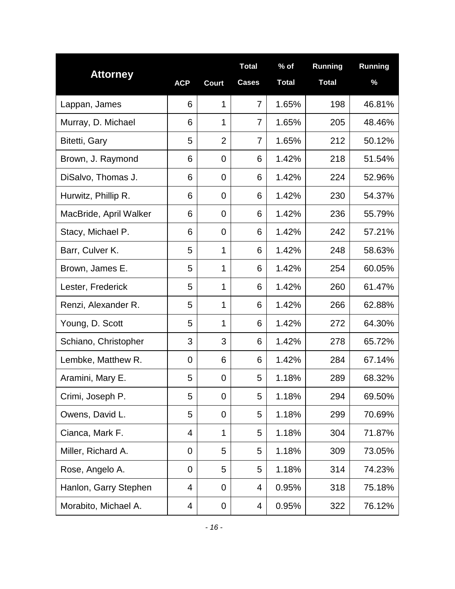|                        |            |                | <b>Total</b>   | $%$ of       | <b>Running</b> | Running |
|------------------------|------------|----------------|----------------|--------------|----------------|---------|
| <b>Attorney</b>        | <b>ACP</b> | <b>Court</b>   | <b>Cases</b>   | <b>Total</b> | <b>Total</b>   | %       |
| Lappan, James          | 6          | 1              | $\overline{7}$ | 1.65%        | 198            | 46.81%  |
| Murray, D. Michael     | 6          | 1              | 7              | 1.65%        | 205            | 48.46%  |
| Bitetti, Gary          | 5          | $\overline{2}$ | $\overline{7}$ | 1.65%        | 212            | 50.12%  |
| Brown, J. Raymond      | 6          | 0              | 6              | 1.42%        | 218            | 51.54%  |
| DiSalvo, Thomas J.     | 6          | 0              | 6              | 1.42%        | 224            | 52.96%  |
| Hurwitz, Phillip R.    | 6          | 0              | 6              | 1.42%        | 230            | 54.37%  |
| MacBride, April Walker | 6          | 0              | 6              | 1.42%        | 236            | 55.79%  |
| Stacy, Michael P.      | 6          | 0              | 6              | 1.42%        | 242            | 57.21%  |
| Barr, Culver K.        | 5          | 1              | 6              | 1.42%        | 248            | 58.63%  |
| Brown, James E.        | 5          | 1              | 6              | 1.42%        | 254            | 60.05%  |
| Lester, Frederick      | 5          | 1              | 6              | 1.42%        | 260            | 61.47%  |
| Renzi, Alexander R.    | 5          | 1              | 6              | 1.42%        | 266            | 62.88%  |
| Young, D. Scott        | 5          | 1              | 6              | 1.42%        | 272            | 64.30%  |
| Schiano, Christopher   | 3          | 3              | 6              | 1.42%        | 278            | 65.72%  |
| Lembke, Matthew R.     | 0          | 6              | 6              | 1.42%        | 284            | 67.14%  |
| Aramini, Mary E.       | 5          | 0              | 5              | 1.18%        | 289            | 68.32%  |
| Crimi, Joseph P.       | 5          | 0              | 5              | 1.18%        | 294            | 69.50%  |
| Owens, David L.        | 5          | 0              | 5              | 1.18%        | 299            | 70.69%  |
| Cianca, Mark F.        | 4          | $\mathbf 1$    | 5              | 1.18%        | 304            | 71.87%  |
| Miller, Richard A.     | 0          | 5              | 5              | 1.18%        | 309            | 73.05%  |
| Rose, Angelo A.        | 0          | 5              | 5              | 1.18%        | 314            | 74.23%  |
| Hanlon, Garry Stephen  | 4          | 0              | 4              | 0.95%        | 318            | 75.18%  |
| Morabito, Michael A.   | 4          | 0              | 4              | 0.95%        | 322            | 76.12%  |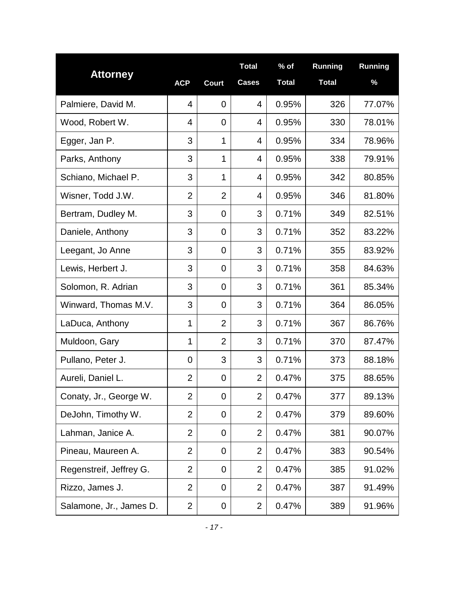|                         |                |                | <b>Total</b>   | $%$ of       | <b>Running</b> | Running |
|-------------------------|----------------|----------------|----------------|--------------|----------------|---------|
| <b>Attorney</b>         | <b>ACP</b>     | <b>Court</b>   | <b>Cases</b>   | <b>Total</b> | <b>Total</b>   | $\%$    |
| Palmiere, David M.      | $\overline{4}$ | 0              | $\overline{4}$ | 0.95%        | 326            | 77.07%  |
| Wood, Robert W.         | 4              | 0              | $\overline{4}$ | 0.95%        | 330            | 78.01%  |
| Egger, Jan P.           | 3              | 1              | 4              | 0.95%        | 334            | 78.96%  |
| Parks, Anthony          | 3              | $\mathbf 1$    | $\overline{4}$ | 0.95%        | 338            | 79.91%  |
| Schiano, Michael P.     | 3              | 1              | 4              | 0.95%        | 342            | 80.85%  |
| Wisner, Todd J.W.       | $\overline{2}$ | $\overline{2}$ | 4              | 0.95%        | 346            | 81.80%  |
| Bertram, Dudley M.      | 3              | 0              | 3              | 0.71%        | 349            | 82.51%  |
| Daniele, Anthony        | 3              | 0              | 3              | 0.71%        | 352            | 83.22%  |
| Leegant, Jo Anne        | 3              | 0              | 3              | 0.71%        | 355            | 83.92%  |
| Lewis, Herbert J.       | 3              | 0              | 3              | 0.71%        | 358            | 84.63%  |
| Solomon, R. Adrian      | 3              | 0              | 3              | 0.71%        | 361            | 85.34%  |
| Winward, Thomas M.V.    | 3              | 0              | 3              | 0.71%        | 364            | 86.05%  |
| LaDuca, Anthony         | 1              | $\overline{2}$ | 3              | 0.71%        | 367            | 86.76%  |
| Muldoon, Gary           | 1              | $\overline{2}$ | 3              | 0.71%        | 370            | 87.47%  |
| Pullano, Peter J.       | $\overline{0}$ | 3              | 3              | 0.71%        | 373            | 88.18%  |
| Aureli, Daniel L.       | 2              | 0              | $\overline{2}$ | 0.47%        | 375            | 88.65%  |
| Conaty, Jr., George W.  | $\overline{2}$ | $\mathbf 0$    | $\overline{2}$ | 0.47%        | 377            | 89.13%  |
| DeJohn, Timothy W.      | $\overline{2}$ | 0              | $\overline{2}$ | 0.47%        | 379            | 89.60%  |
| Lahman, Janice A.       | $\overline{2}$ | 0              | $\overline{2}$ | 0.47%        | 381            | 90.07%  |
| Pineau, Maureen A.      | $\overline{2}$ | 0              | $\overline{2}$ | 0.47%        | 383            | 90.54%  |
| Regenstreif, Jeffrey G. | $\overline{2}$ | $\mathbf 0$    | $\overline{2}$ | 0.47%        | 385            | 91.02%  |
| Rizzo, James J.         | $\overline{2}$ | $\mathbf 0$    | $\overline{2}$ | 0.47%        | 387            | 91.49%  |
| Salamone, Jr., James D. | $\overline{2}$ | 0              | $\overline{2}$ | 0.47%        | 389            | 91.96%  |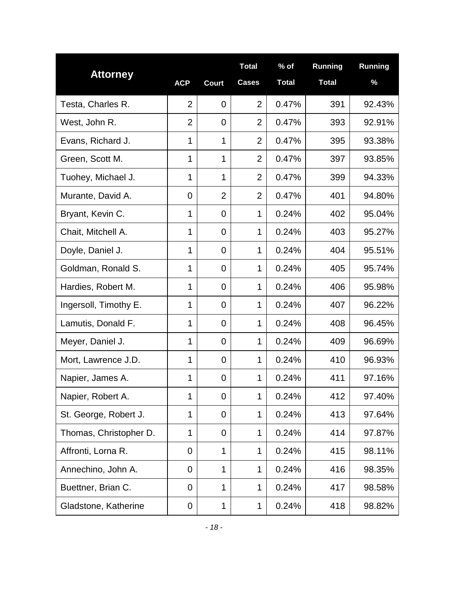|                        |                |                | <b>Total</b>   | $%$ of       | <b>Running</b> | Running |
|------------------------|----------------|----------------|----------------|--------------|----------------|---------|
| <b>Attorney</b>        | <b>ACP</b>     | <b>Court</b>   | <b>Cases</b>   | <b>Total</b> | <b>Total</b>   | %       |
| Testa, Charles R.      | $\overline{2}$ | 0              | $\overline{2}$ | 0.47%        | 391            | 92.43%  |
| West, John R.          | $\overline{2}$ | 0              | $\overline{2}$ | 0.47%        | 393            | 92.91%  |
| Evans, Richard J.      | 1              | 1              | $\overline{2}$ | 0.47%        | 395            | 93.38%  |
| Green, Scott M.        | 1              | 1              | $\overline{2}$ | 0.47%        | 397            | 93.85%  |
| Tuohey, Michael J.     | 1              | 1              | $\overline{2}$ | 0.47%        | 399            | 94.33%  |
| Murante, David A.      | 0              | $\overline{2}$ | $\overline{2}$ | 0.47%        | 401            | 94.80%  |
| Bryant, Kevin C.       | 1              | 0              | 1              | 0.24%        | 402            | 95.04%  |
| Chait, Mitchell A.     | $\mathbf 1$    | 0              | 1              | 0.24%        | 403            | 95.27%  |
| Doyle, Daniel J.       | $\mathbf 1$    | $\overline{0}$ | 1              | 0.24%        | 404            | 95.51%  |
| Goldman, Ronald S.     | 1              | 0              | 1              | 0.24%        | 405            | 95.74%  |
| Hardies, Robert M.     | $\mathbf 1$    | 0              | 1              | 0.24%        | 406            | 95.98%  |
| Ingersoll, Timothy E.  | $\mathbf 1$    | 0              | 1              | 0.24%        | 407            | 96.22%  |
| Lamutis, Donald F.     | $\mathbf 1$    | 0              | 1              | 0.24%        | 408            | 96.45%  |
| Meyer, Daniel J.       | $\mathbf 1$    | 0              | 1              | 0.24%        | 409            | 96.69%  |
| Mort, Lawrence J.D.    | 1              | 0              | 1              | 0.24%        | 410            | 96.93%  |
| Napier, James A.       | 1              | 0              | 1              | 0.24%        | 411            | 97.16%  |
| Napier, Robert A.      | 1              | 0              | 1              | 0.24%        | 412            | 97.40%  |
| St. George, Robert J.  | 1              | 0              | 1              | 0.24%        | 413            | 97.64%  |
| Thomas, Christopher D. | 1              | 0              | 1              | 0.24%        | 414            | 97.87%  |
| Affronti, Lorna R.     | 0              | 1              | $\mathbf 1$    | 0.24%        | 415            | 98.11%  |
| Annechino, John A.     | 0              | 1              | $\mathbf 1$    | 0.24%        | 416            | 98.35%  |
| Buettner, Brian C.     | 0              | 1              | 1              | 0.24%        | 417            | 98.58%  |
| Gladstone, Katherine   | 0              | 1              | 1              | 0.24%        | 418            | 98.82%  |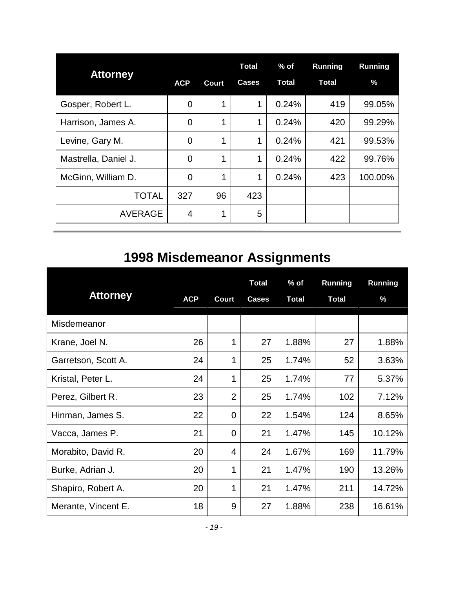<span id="page-20-0"></span>

| <b>Attorney</b>      |                |       | Total        | $%$ of       | <b>Running</b> | Running |
|----------------------|----------------|-------|--------------|--------------|----------------|---------|
|                      | <b>ACP</b>     | Court | <b>Cases</b> | <b>Total</b> | <b>Total</b>   | $\%$    |
| Gosper, Robert L.    | 0              | 1     | 1            | 0.24%        | 419            | 99.05%  |
| Harrison, James A.   | 0              | 1     | 1            | 0.24%        | 420            | 99.29%  |
| Levine, Gary M.      | $\overline{0}$ | 1     | 1            | 0.24%        | 421            | 99.53%  |
| Mastrella, Daniel J. | $\overline{0}$ | 1     | 1            | 0.24%        | 422            | 99.76%  |
| McGinn, William D.   | $\overline{0}$ | 1     | 1            | 0.24%        | 423            | 100.00% |
| <b>TOTAL</b>         | 327            | 96    | 423          |              |                |         |
| <b>AVERAGE</b>       | 4              | 1     | 5            |              |                |         |

# **1998 Misdemeanor Assignments**

| <b>Attorney</b>     | <b>ACP</b> | Court          | <b>Total</b><br><b>Cases</b> | $%$ of<br><b>Total</b> | <b>Running</b><br><b>Total</b> | <b>Running</b><br>$\%$ |
|---------------------|------------|----------------|------------------------------|------------------------|--------------------------------|------------------------|
| Misdemeanor         |            |                |                              |                        |                                |                        |
| Krane, Joel N.      | 26         | 1              | 27                           | 1.88%                  | 27                             | 1.88%                  |
| Garretson, Scott A. | 24         | 1              | 25                           | 1.74%                  | 52                             | 3.63%                  |
| Kristal, Peter L.   | 24         | 1              | 25                           | 1.74%                  | 77                             | 5.37%                  |
| Perez, Gilbert R.   | 23         | $\overline{2}$ | 25                           | 1.74%                  | 102                            | 7.12%                  |
| Hinman, James S.    | 22         | 0              | 22                           | 1.54%                  | 124                            | 8.65%                  |
| Vacca, James P.     | 21         | $\overline{0}$ | 21                           | 1.47%                  | 145                            | 10.12%                 |
| Morabito, David R.  | 20         | 4              | 24                           | 1.67%                  | 169                            | 11.79%                 |
| Burke, Adrian J.    | 20         | 1              | 21                           | 1.47%                  | 190                            | 13.26%                 |
| Shapiro, Robert A.  | 20         | 1              | 21                           | 1.47%                  | 211                            | 14.72%                 |
| Merante, Vincent E. | 18         | 9              | 27                           | 1.88%                  | 238                            | 16.61%                 |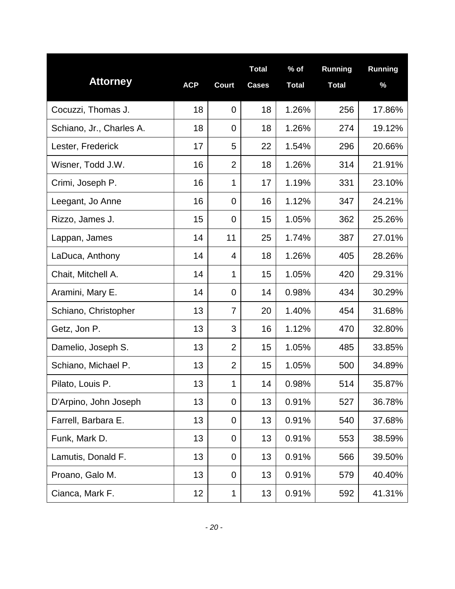| <b>Attorney</b>          | <b>ACP</b> | <b>Court</b>   | <b>Total</b><br><b>Cases</b> | $%$ of<br><b>Total</b> | <b>Running</b><br><b>Total</b> | Running<br>$\%$ |
|--------------------------|------------|----------------|------------------------------|------------------------|--------------------------------|-----------------|
| Cocuzzi, Thomas J.       | 18         | $\mathbf 0$    | 18                           | 1.26%                  | 256                            | 17.86%          |
| Schiano, Jr., Charles A. | 18         | $\mathbf 0$    | 18                           | 1.26%                  | 274                            | 19.12%          |
| Lester, Frederick        | 17         | 5              | 22                           | 1.54%                  | 296                            | 20.66%          |
| Wisner, Todd J.W.        | 16         | $\overline{2}$ | 18                           | 1.26%                  | 314                            | 21.91%          |
| Crimi, Joseph P.         | 16         | 1              | 17                           | 1.19%                  | 331                            | 23.10%          |
| Leegant, Jo Anne         | 16         | $\mathbf 0$    | 16                           | 1.12%                  | 347                            | 24.21%          |
| Rizzo, James J.          | 15         | $\overline{0}$ | 15                           | 1.05%                  | 362                            | 25.26%          |
| Lappan, James            | 14         | 11             | 25                           | 1.74%                  | 387                            | 27.01%          |
| LaDuca, Anthony          | 14         | 4              | 18                           | 1.26%                  | 405                            | 28.26%          |
| Chait, Mitchell A.       | 14         | 1              | 15                           | 1.05%                  | 420                            | 29.31%          |
| Aramini, Mary E.         | 14         | $\mathbf 0$    | 14                           | 0.98%                  | 434                            | 30.29%          |
| Schiano, Christopher     | 13         | $\overline{7}$ | 20                           | 1.40%                  | 454                            | 31.68%          |
| Getz, Jon P.             | 13         | 3              | 16                           | 1.12%                  | 470                            | 32.80%          |
| Damelio, Joseph S.       | 13         | $\overline{2}$ | 15                           | 1.05%                  | 485                            | 33.85%          |
| Schiano, Michael P.      | 13         | $\overline{2}$ | 15                           | 1.05%                  | 500                            | 34.89%          |
| Pilato, Louis P.         | 13         | 1              | 14                           | 0.98%                  | 514                            | 35.87%          |
| D'Arpino, John Joseph    | 13         | $\mathbf 0$    | 13                           | 0.91%                  | 527                            | 36.78%          |
| Farrell, Barbara E.      | 13         | $\mathbf 0$    | 13                           | 0.91%                  | 540                            | 37.68%          |
| Funk, Mark D.            | 13         | $\overline{0}$ | 13                           | 0.91%                  | 553                            | 38.59%          |
| Lamutis, Donald F.       | 13         | $\mathbf 0$    | 13                           | 0.91%                  | 566                            | 39.50%          |
| Proano, Galo M.          | 13         | $\overline{0}$ | 13                           | 0.91%                  | 579                            | 40.40%          |
| Cianca, Mark F.          | 12         | 1              | 13                           | 0.91%                  | 592                            | 41.31%          |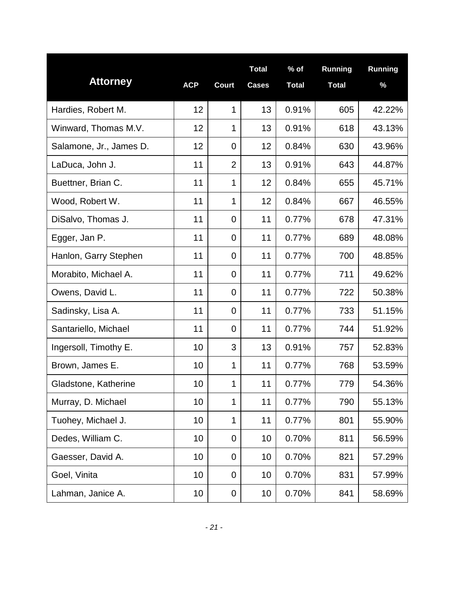| <b>Attorney</b>         | <b>ACP</b> | <b>Court</b>     | <b>Total</b><br><b>Cases</b> | $%$ of<br><b>Total</b> | <b>Running</b><br><b>Total</b> | Running<br>$\%$ |
|-------------------------|------------|------------------|------------------------------|------------------------|--------------------------------|-----------------|
| Hardies, Robert M.      | 12         | 1                | 13                           | 0.91%                  | 605                            | 42.22%          |
| Winward, Thomas M.V.    | 12         | 1                | 13                           | 0.91%                  | 618                            | 43.13%          |
| Salamone, Jr., James D. | 12         | $\mathbf 0$      | 12                           | 0.84%                  | 630                            | 43.96%          |
| LaDuca, John J.         | 11         | $\overline{2}$   | 13                           | 0.91%                  | 643                            | 44.87%          |
| Buettner, Brian C.      | 11         | 1                | 12                           | 0.84%                  | 655                            | 45.71%          |
| Wood, Robert W.         | 11         | 1                | 12                           | 0.84%                  | 667                            | 46.55%          |
| DiSalvo, Thomas J.      | 11         | $\overline{0}$   | 11                           | 0.77%                  | 678                            | 47.31%          |
| Egger, Jan P.           | 11         | $\overline{0}$   | 11                           | 0.77%                  | 689                            | 48.08%          |
| Hanlon, Garry Stephen   | 11         | $\overline{0}$   | 11                           | 0.77%                  | 700                            | 48.85%          |
| Morabito, Michael A.    | 11         | $\overline{0}$   | 11                           | 0.77%                  | 711                            | 49.62%          |
| Owens, David L.         | 11         | $\mathbf 0$      | 11                           | 0.77%                  | 722                            | 50.38%          |
| Sadinsky, Lisa A.       | 11         | $\mathbf 0$      | 11                           | 0.77%                  | 733                            | 51.15%          |
| Santariello, Michael    | 11         | $\mathbf 0$      | 11                           | 0.77%                  | 744                            | 51.92%          |
| Ingersoll, Timothy E.   | 10         | 3                | 13                           | 0.91%                  | 757                            | 52.83%          |
| Brown, James E.         | 10         | 1                | 11                           | 0.77%                  | 768                            | 53.59%          |
| Gladstone, Katherine    | 10         | 1                | 11                           | 0.77%                  | 779                            | 54.36%          |
| Murray, D. Michael      | 10         | 1                | 11                           | 0.77%                  | 790                            | 55.13%          |
| Tuohey, Michael J.      | 10         | 1                | 11                           | 0.77%                  | 801                            | 55.90%          |
| Dedes, William C.       | 10         | $\mathbf 0$      | 10                           | 0.70%                  | 811                            | 56.59%          |
| Gaesser, David A.       | 10         | $\overline{0}$   | 10                           | 0.70%                  | 821                            | 57.29%          |
| Goel, Vinita            | 10         | $\mathbf 0$      | 10                           | 0.70%                  | 831                            | 57.99%          |
| Lahman, Janice A.       | 10         | $\boldsymbol{0}$ | 10                           | 0.70%                  | 841                            | 58.69%          |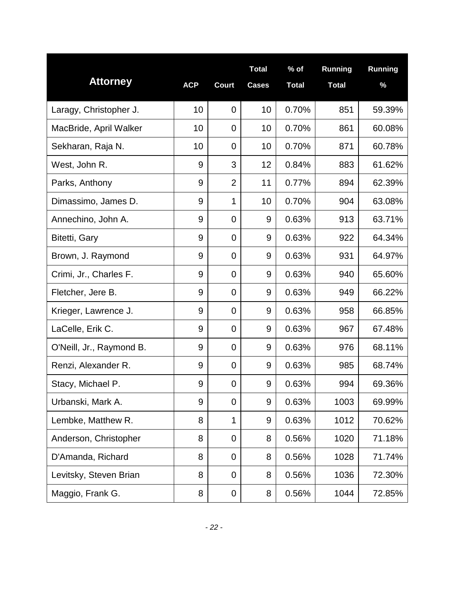| <b>Attorney</b>          | <b>ACP</b> | <b>Court</b>   | <b>Total</b><br><b>Cases</b> | $%$ of<br><b>Total</b> | <b>Running</b><br><b>Total</b> | Running<br>$\%$ |
|--------------------------|------------|----------------|------------------------------|------------------------|--------------------------------|-----------------|
| Laragy, Christopher J.   | 10         | $\mathbf 0$    | 10                           | 0.70%                  | 851                            | 59.39%          |
| MacBride, April Walker   | 10         | $\mathbf 0$    | 10                           | 0.70%                  | 861                            | 60.08%          |
| Sekharan, Raja N.        | 10         | $\mathbf 0$    | 10                           | 0.70%                  | 871                            | 60.78%          |
| West, John R.            | 9          | 3              | 12                           | 0.84%                  | 883                            | 61.62%          |
| Parks, Anthony           | 9          | $\overline{2}$ | 11                           | 0.77%                  | 894                            | 62.39%          |
| Dimassimo, James D.      | 9          | 1              | 10                           | 0.70%                  | 904                            | 63.08%          |
| Annechino, John A.       | 9          | $\overline{0}$ | 9                            | 0.63%                  | 913                            | 63.71%          |
| Bitetti, Gary            | 9          | $\overline{0}$ | 9                            | 0.63%                  | 922                            | 64.34%          |
| Brown, J. Raymond        | 9          | $\overline{0}$ | 9                            | 0.63%                  | 931                            | 64.97%          |
| Crimi, Jr., Charles F.   | 9          | $\overline{0}$ | 9                            | 0.63%                  | 940                            | 65.60%          |
| Fletcher, Jere B.        | 9          | $\mathbf 0$    | 9                            | 0.63%                  | 949                            | 66.22%          |
| Krieger, Lawrence J.     | 9          | $\mathbf 0$    | 9                            | 0.63%                  | 958                            | 66.85%          |
| LaCelle, Erik C.         | 9          | $\overline{0}$ | 9                            | 0.63%                  | 967                            | 67.48%          |
| O'Neill, Jr., Raymond B. | 9          | $\mathbf 0$    | 9                            | 0.63%                  | 976                            | 68.11%          |
| Renzi, Alexander R.      | 9          | $\mathbf 0$    | 9                            | 0.63%                  | 985                            | 68.74%          |
| Stacy, Michael P.        | 9          | $\mathbf 0$    | 9                            | 0.63%                  | 994                            | 69.36%          |
| Urbanski, Mark A.        | 9          | $\overline{0}$ | 9                            | 0.63%                  | 1003                           | 69.99%          |
| Lembke, Matthew R.       | 8          | 1              | 9                            | 0.63%                  | 1012                           | 70.62%          |
| Anderson, Christopher    | 8          | $\overline{0}$ | 8                            | 0.56%                  | 1020                           | 71.18%          |
| D'Amanda, Richard        | 8          | $\mathbf 0$    | 8                            | 0.56%                  | 1028                           | 71.74%          |
| Levitsky, Steven Brian   | 8          | $\overline{0}$ | 8                            | 0.56%                  | 1036                           | 72.30%          |
| Maggio, Frank G.         | 8          | 0              | 8                            | 0.56%                  | 1044                           | 72.85%          |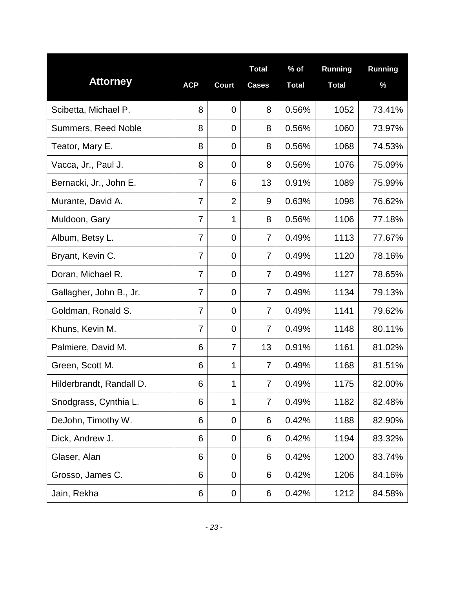|                          |                |                | <b>Total</b>   | $%$ of       | <b>Running</b> | Running |
|--------------------------|----------------|----------------|----------------|--------------|----------------|---------|
| <b>Attorney</b>          | <b>ACP</b>     | <b>Court</b>   | <b>Cases</b>   | <b>Total</b> | <b>Total</b>   | $\%$    |
| Scibetta, Michael P.     | 8              | $\overline{0}$ | 8              | 0.56%        | 1052           | 73.41%  |
| Summers, Reed Noble      | 8              | $\mathbf 0$    | 8              | 0.56%        | 1060           | 73.97%  |
| Teator, Mary E.          | 8              | $\mathbf 0$    | 8              | 0.56%        | 1068           | 74.53%  |
| Vacca, Jr., Paul J.      | 8              | 0              | 8              | 0.56%        | 1076           | 75.09%  |
| Bernacki, Jr., John E.   | 7              | 6              | 13             | 0.91%        | 1089           | 75.99%  |
| Murante, David A.        | 7              | $\overline{2}$ | 9              | 0.63%        | 1098           | 76.62%  |
| Muldoon, Gary            | $\overline{7}$ | 1              | 8              | 0.56%        | 1106           | 77.18%  |
| Album, Betsy L.          | $\overline{7}$ | $\overline{0}$ | $\overline{7}$ | 0.49%        | 1113           | 77.67%  |
| Bryant, Kevin C.         | 7              | $\overline{0}$ | 7              | 0.49%        | 1120           | 78.16%  |
| Doran, Michael R.        | 7              | $\mathbf 0$    | 7              | 0.49%        | 1127           | 78.65%  |
| Gallagher, John B., Jr.  | 7              | $\overline{0}$ | 7              | 0.49%        | 1134           | 79.13%  |
| Goldman, Ronald S.       | 7              | $\mathbf 0$    | 7              | 0.49%        | 1141           | 79.62%  |
| Khuns, Kevin M.          | $\overline{7}$ | $\mathbf 0$    | $\overline{7}$ | 0.49%        | 1148           | 80.11%  |
| Palmiere, David M.       | 6              | $\overline{7}$ | 13             | 0.91%        | 1161           | 81.02%  |
| Green, Scott M.          | 6              | 1              | $\overline{7}$ | 0.49%        | 1168           | 81.51%  |
| Hilderbrandt, Randall D. | 6              | 1              | $\overline{7}$ | 0.49%        | 1175           | 82.00%  |
| Snodgrass, Cynthia L.    | 6              | 1              | 7              | 0.49%        | 1182           | 82.48%  |
| DeJohn, Timothy W.       | 6              | $\mathbf 0$    | 6              | 0.42%        | 1188           | 82.90%  |
| Dick, Andrew J.          | 6              | $\mathbf 0$    | 6              | 0.42%        | 1194           | 83.32%  |
| Glaser, Alan             | 6              | $\mathbf 0$    | 6              | 0.42%        | 1200           | 83.74%  |
| Grosso, James C.         | 6              | $\mathbf 0$    | 6              | 0.42%        | 1206           | 84.16%  |
| Jain, Rekha              | 6              | $\mathbf 0$    | 6              | 0.42%        | 1212           | 84.58%  |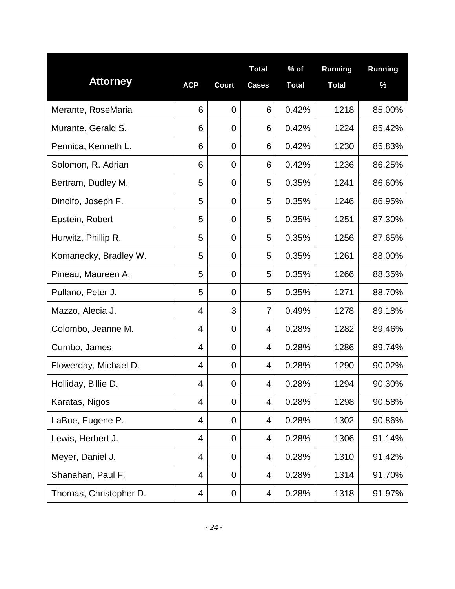| <b>Attorney</b>        | <b>ACP</b> | <b>Court</b>   | <b>Total</b><br><b>Cases</b> | $%$ of<br><b>Total</b> | Running<br><b>Total</b> | Running<br>$\%$ |
|------------------------|------------|----------------|------------------------------|------------------------|-------------------------|-----------------|
| Merante, RoseMaria     | 6          | $\mathbf 0$    | 6                            | 0.42%                  | 1218                    | 85.00%          |
| Murante, Gerald S.     | 6          | $\mathbf 0$    | 6                            | 0.42%                  | 1224                    | 85.42%          |
| Pennica, Kenneth L.    | 6          | $\mathbf 0$    | 6                            | 0.42%                  | 1230                    | 85.83%          |
| Solomon, R. Adrian     | 6          | $\mathbf 0$    | 6                            | 0.42%                  | 1236                    | 86.25%          |
| Bertram, Dudley M.     | 5          | $\overline{0}$ | 5                            | 0.35%                  | 1241                    | 86.60%          |
| Dinolfo, Joseph F.     | 5          | $\mathbf 0$    | 5                            | 0.35%                  | 1246                    | 86.95%          |
| Epstein, Robert        | 5          | $\overline{0}$ | 5                            | 0.35%                  | 1251                    | 87.30%          |
| Hurwitz, Phillip R.    | 5          | $\mathbf 0$    | 5                            | 0.35%                  | 1256                    | 87.65%          |
| Komanecky, Bradley W.  | 5          | $\mathbf 0$    | 5                            | 0.35%                  | 1261                    | 88.00%          |
| Pineau, Maureen A.     | 5          | $\mathbf 0$    | 5                            | 0.35%                  | 1266                    | 88.35%          |
| Pullano, Peter J.      | 5          | $\mathbf 0$    | 5                            | 0.35%                  | 1271                    | 88.70%          |
| Mazzo, Alecia J.       | 4          | 3              | 7                            | 0.49%                  | 1278                    | 89.18%          |
| Colombo, Jeanne M.     | 4          | $\mathbf 0$    | 4                            | 0.28%                  | 1282                    | 89.46%          |
| Cumbo, James           | 4          | $\mathbf 0$    | 4                            | 0.28%                  | 1286                    | 89.74%          |
| Flowerday, Michael D.  | 4          | $\mathbf 0$    | 4                            | 0.28%                  | 1290                    | 90.02%          |
| Holliday, Billie D.    | 4          | $\mathbf 0$    | 4                            | 0.28%                  | 1294                    | 90.30%          |
| Karatas, Nigos         | 4          | $\mathbf 0$    | 4                            | 0.28%                  | 1298                    | 90.58%          |
| LaBue, Eugene P.       | 4          | $\mathbf 0$    | 4                            | 0.28%                  | 1302                    | 90.86%          |
| Lewis, Herbert J.      | 4          | $\mathbf 0$    | 4                            | 0.28%                  | 1306                    | 91.14%          |
| Meyer, Daniel J.       | 4          | $\mathbf 0$    | 4                            | 0.28%                  | 1310                    | 91.42%          |
| Shanahan, Paul F.      | 4          | $\mathbf 0$    | 4                            | 0.28%                  | 1314                    | 91.70%          |
| Thomas, Christopher D. | 4          | 0              | 4                            | 0.28%                  | 1318                    | 91.97%          |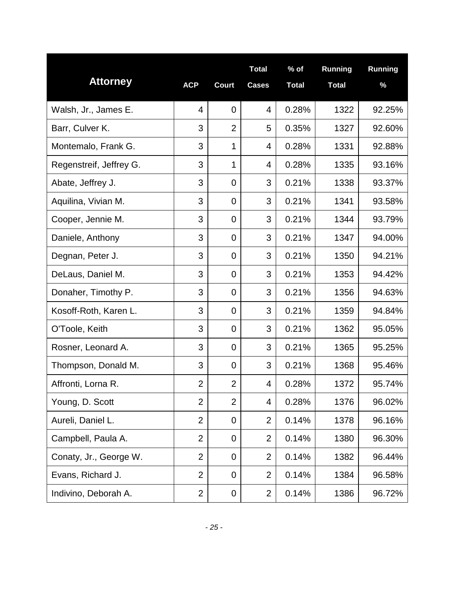| <b>Attorney</b>         | <b>ACP</b>     | <b>Court</b>   | <b>Total</b><br><b>Cases</b> | $%$ of<br><b>Total</b> | <b>Running</b><br><b>Total</b> | Running<br>$\%$ |
|-------------------------|----------------|----------------|------------------------------|------------------------|--------------------------------|-----------------|
| Walsh, Jr., James E.    | 4              | $\overline{0}$ | $\overline{4}$               | 0.28%                  | 1322                           | 92.25%          |
| Barr, Culver K.         | 3              | $\overline{2}$ | 5                            | 0.35%                  | 1327                           | 92.60%          |
| Montemalo, Frank G.     | 3              | 1              | 4                            | 0.28%                  | 1331                           | 92.88%          |
| Regenstreif, Jeffrey G. | 3              | 1              | 4                            | 0.28%                  | 1335                           | 93.16%          |
| Abate, Jeffrey J.       | 3              | $\overline{0}$ | 3                            | 0.21%                  | 1338                           | 93.37%          |
| Aquilina, Vivian M.     | 3              | $\overline{0}$ | 3                            | 0.21%                  | 1341                           | 93.58%          |
| Cooper, Jennie M.       | 3              | $\overline{0}$ | 3                            | 0.21%                  | 1344                           | 93.79%          |
| Daniele, Anthony        | 3              | $\overline{0}$ | 3                            | 0.21%                  | 1347                           | 94.00%          |
| Degnan, Peter J.        | 3              | $\overline{0}$ | 3                            | 0.21%                  | 1350                           | 94.21%          |
| DeLaus, Daniel M.       | 3              | $\mathbf 0$    | 3                            | 0.21%                  | 1353                           | 94.42%          |
| Donaher, Timothy P.     | 3              | $\mathbf 0$    | 3                            | 0.21%                  | 1356                           | 94.63%          |
| Kosoff-Roth, Karen L.   | 3              | $\mathbf 0$    | 3                            | 0.21%                  | 1359                           | 94.84%          |
| O'Toole, Keith          | 3              | $\mathbf 0$    | 3                            | 0.21%                  | 1362                           | 95.05%          |
| Rosner, Leonard A.      | 3              | $\mathbf 0$    | 3                            | 0.21%                  | 1365                           | 95.25%          |
| Thompson, Donald M.     | 3              | $\mathbf 0$    | 3                            | 0.21%                  | 1368                           | 95.46%          |
| Affronti, Lorna R.      | $\overline{2}$ | $\overline{2}$ | $\overline{4}$               | 0.28%                  | 1372                           | 95.74%          |
| Young, D. Scott         | $\overline{2}$ | $\overline{2}$ | 4                            | 0.28%                  | 1376                           | 96.02%          |
| Aureli, Daniel L.       | $\overline{2}$ | $\mathbf 0$    | $\overline{2}$               | 0.14%                  | 1378                           | 96.16%          |
| Campbell, Paula A.      | $\overline{2}$ | $\mathbf 0$    | $\overline{2}$               | 0.14%                  | 1380                           | 96.30%          |
| Conaty, Jr., George W.  | $\overline{2}$ | $\mathbf 0$    | $\overline{2}$               | 0.14%                  | 1382                           | 96.44%          |
| Evans, Richard J.       | $\overline{2}$ | $\mathbf 0$    | $\overline{2}$               | 0.14%                  | 1384                           | 96.58%          |
| Indivino, Deborah A.    | $\overline{2}$ | 0              | $\overline{2}$               | 0.14%                  | 1386                           | 96.72%          |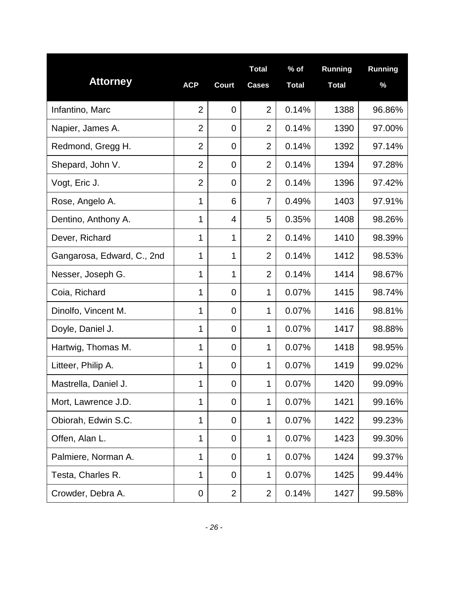| <b>Attorney</b>            | <b>ACP</b>     | <b>Court</b>   | <b>Total</b><br><b>Cases</b> | $%$ of<br><b>Total</b> | <b>Running</b><br><b>Total</b> | Running<br>$\%$ |
|----------------------------|----------------|----------------|------------------------------|------------------------|--------------------------------|-----------------|
| Infantino, Marc            | $\overline{2}$ | $\mathbf 0$    | $\overline{2}$               | 0.14%                  | 1388                           | 96.86%          |
| Napier, James A.           | $\overline{2}$ | $\mathbf 0$    | $\overline{2}$               | 0.14%                  | 1390                           | 97.00%          |
| Redmond, Gregg H.          | $\overline{2}$ | $\mathbf 0$    | $\overline{2}$               | 0.14%                  | 1392                           | 97.14%          |
| Shepard, John V.           | $\overline{2}$ | $\overline{0}$ | $\overline{2}$               | 0.14%                  | 1394                           | 97.28%          |
| Vogt, Eric J.              | $\overline{2}$ | $\overline{0}$ | $\overline{2}$               | 0.14%                  | 1396                           | 97.42%          |
| Rose, Angelo A.            | 1              | 6              | 7                            | 0.49%                  | 1403                           | 97.91%          |
| Dentino, Anthony A.        | 1              | $\overline{4}$ | 5                            | 0.35%                  | 1408                           | 98.26%          |
| Dever, Richard             | 1              | 1              | $\overline{2}$               | 0.14%                  | 1410                           | 98.39%          |
| Gangarosa, Edward, C., 2nd | 1              | 1              | $\overline{2}$               | 0.14%                  | 1412                           | 98.53%          |
| Nesser, Joseph G.          | 1              | 1              | $\overline{2}$               | 0.14%                  | 1414                           | 98.67%          |
| Coia, Richard              | 1              | $\mathbf 0$    | 1                            | 0.07%                  | 1415                           | 98.74%          |
| Dinolfo, Vincent M.        | 1              | $\mathbf 0$    | 1                            | 0.07%                  | 1416                           | 98.81%          |
| Doyle, Daniel J.           | 1              | $\overline{0}$ | 1                            | 0.07%                  | 1417                           | 98.88%          |
| Hartwig, Thomas M.         | 1              | $\mathbf 0$    | 1                            | 0.07%                  | 1418                           | 98.95%          |
| Litteer, Philip A.         | $\mathbf 1$    | $\mathbf 0$    | $\mathbf{1}$                 | 0.07%                  | 1419                           | 99.02%          |
| Mastrella, Daniel J.       | 1              | $\mathbf 0$    | 1                            | 0.07%                  | 1420                           | 99.09%          |
| Mort, Lawrence J.D.        | 1              | $\mathbf 0$    | $\mathbf{1}$                 | 0.07%                  | 1421                           | 99.16%          |
| Obiorah, Edwin S.C.        | 1              | $\mathbf 0$    | 1                            | 0.07%                  | 1422                           | 99.23%          |
| Offen, Alan L.             | 1              | $\mathbf 0$    | $\mathbf{1}$                 | 0.07%                  | 1423                           | 99.30%          |
| Palmiere, Norman A.        | 1              | $\overline{0}$ | 1                            | 0.07%                  | 1424                           | 99.37%          |
| Testa, Charles R.          | 1              | $\overline{0}$ | 1                            | 0.07%                  | 1425                           | 99.44%          |
| Crowder, Debra A.          | 0              | $\overline{2}$ | $\overline{2}$               | 0.14%                  | 1427                           | 99.58%          |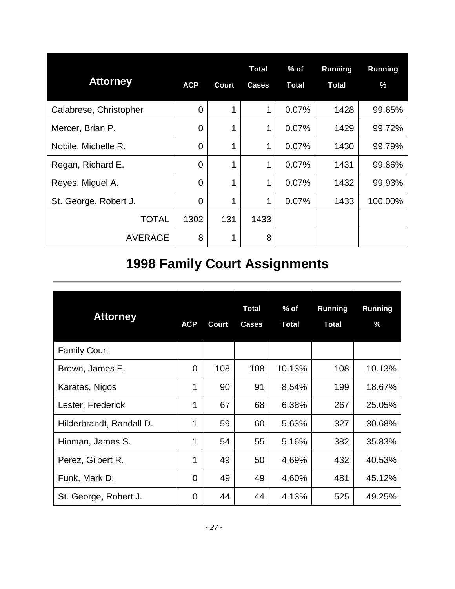<span id="page-28-0"></span>

| <b>Attorney</b>        | <b>ACP</b>     | <b>Court</b> | <b>Total</b><br><b>Cases</b> | $%$ of<br><b>Total</b> | <b>Running</b><br><b>Total</b> | Running<br>$\%$ |
|------------------------|----------------|--------------|------------------------------|------------------------|--------------------------------|-----------------|
| Calabrese, Christopher | $\Omega$       | 1            | 1                            | 0.07%                  | 1428                           | 99.65%          |
| Mercer, Brian P.       | $\overline{0}$ | 1            | 1                            | 0.07%                  | 1429                           | 99.72%          |
| Nobile, Michelle R.    | $\Omega$       | 1            | 1                            | 0.07%                  | 1430                           | 99.79%          |
| Regan, Richard E.      | $\overline{0}$ | 1            | 1                            | 0.07%                  | 1431                           | 99.86%          |
| Reyes, Miguel A.       | $\Omega$       | 1            | 1                            | 0.07%                  | 1432                           | 99.93%          |
| St. George, Robert J.  | $\overline{0}$ | 1            | 1                            | 0.07%                  | 1433                           | 100.00%         |
| TOTAL                  | 1302           | 131          | 1433                         |                        |                                |                 |
| <b>AVERAGE</b>         | 8              | 1            | 8                            |                        |                                |                 |

# **1998 Family Court Assignments**

| <b>Attorney</b>          | <b>ACP</b> | Court | <b>Total</b><br><b>Cases</b> | $%$ of<br><b>Total</b> | <b>Running</b><br><b>Total</b> | <b>Running</b><br>$\%$ |
|--------------------------|------------|-------|------------------------------|------------------------|--------------------------------|------------------------|
| <b>Family Court</b>      |            |       |                              |                        |                                |                        |
| Brown, James E.          | 0          | 108   | 108                          | 10.13%                 | 108                            | 10.13%                 |
| Karatas, Nigos           | 1          | 90    | 91                           | 8.54%                  | 199                            | 18.67%                 |
| Lester, Frederick        | 1          | 67    | 68                           | 6.38%                  | 267                            | 25.05%                 |
| Hilderbrandt, Randall D. | 1          | 59    | 60                           | 5.63%                  | 327                            | 30.68%                 |
| Hinman, James S.         | 1          | 54    | 55                           | 5.16%                  | 382                            | 35.83%                 |
| Perez, Gilbert R.        | 1          | 49    | 50                           | 4.69%                  | 432                            | 40.53%                 |
| Funk, Mark D.            | 0          | 49    | 49                           | 4.60%                  | 481                            | 45.12%                 |
| St. George, Robert J.    | 0          | 44    | 44                           | 4.13%                  | 525                            | 49.25%                 |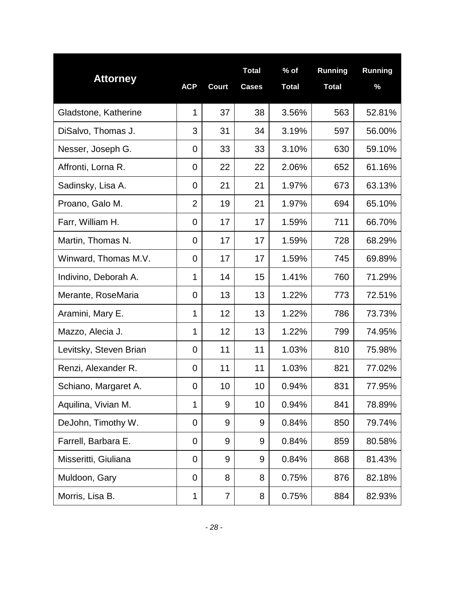| <b>Attorney</b>        |                |                 | <b>Total</b> | $%$ of       | Running      | Running |
|------------------------|----------------|-----------------|--------------|--------------|--------------|---------|
|                        | <b>ACP</b>     | <b>Court</b>    | <b>Cases</b> | <b>Total</b> | <b>Total</b> | %       |
| Gladstone, Katherine   | $\mathbf 1$    | 37              | 38           | 3.56%        | 563          | 52.81%  |
| DiSalvo, Thomas J.     | 3              | 31              | 34           | 3.19%        | 597          | 56.00%  |
| Nesser, Joseph G.      | $\mathbf 0$    | 33              | 33           | 3.10%        | 630          | 59.10%  |
| Affronti, Lorna R.     | 0              | 22              | 22           | 2.06%        | 652          | 61.16%  |
| Sadinsky, Lisa A.      | 0              | 21              | 21           | 1.97%        | 673          | 63.13%  |
| Proano, Galo M.        | $\overline{2}$ | 19              | 21           | 1.97%        | 694          | 65.10%  |
| Farr, William H.       | $\overline{0}$ | 17              | 17           | 1.59%        | 711          | 66.70%  |
| Martin, Thomas N.      | 0              | 17              | 17           | 1.59%        | 728          | 68.29%  |
| Winward, Thomas M.V.   | 0              | 17              | 17           | 1.59%        | 745          | 69.89%  |
| Indivino, Deborah A.   | 1              | 14              | 15           | 1.41%        | 760          | 71.29%  |
| Merante, RoseMaria     | 0              | 13              | 13           | 1.22%        | 773          | 72.51%  |
| Aramini, Mary E.       | 1              | 12              | 13           | 1.22%        | 786          | 73.73%  |
| Mazzo, Alecia J.       | 1              | 12              | 13           | 1.22%        | 799          | 74.95%  |
| Levitsky, Steven Brian | 0              | 11              | 11           | 1.03%        | 810          | 75.98%  |
| Renzi, Alexander R.    | $\mathbf 0$    | 11              | 11           | 1.03%        | 821          | 77.02%  |
| Schiano, Margaret A.   | $\overline{0}$ | 10 <sub>1</sub> | 10           | $0.94\%$     | 831          | 77.95%  |
| Aquilina, Vivian M.    | 1              | 9               | 10           | 0.94%        | 841          | 78.89%  |
| DeJohn, Timothy W.     | $\mathbf 0$    | 9               | 9            | 0.84%        | 850          | 79.74%  |
| Farrell, Barbara E.    | 0              | 9               | 9            | 0.84%        | 859          | 80.58%  |
| Misseritti, Giuliana   | 0              | 9               | 9            | 0.84%        | 868          | 81.43%  |
| Muldoon, Gary          | $\mathbf 0$    | 8               | 8            | 0.75%        | 876          | 82.18%  |
| Morris, Lisa B.        | 1              | $\overline{7}$  | 8            | 0.75%        | 884          | 82.93%  |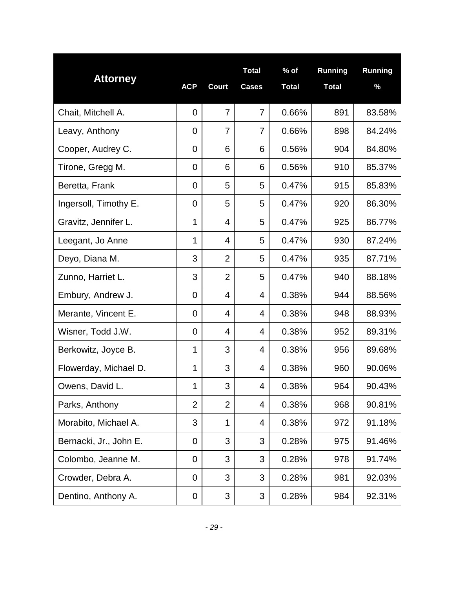| <b>Attorney</b>        |            |                | <b>Total</b>   | $%$ of       | <b>Running</b> | Running |
|------------------------|------------|----------------|----------------|--------------|----------------|---------|
|                        | <b>ACP</b> | <b>Court</b>   | <b>Cases</b>   | <b>Total</b> | <b>Total</b>   | %       |
| Chait, Mitchell A.     | 0          | $\overline{7}$ | $\overline{7}$ | 0.66%        | 891            | 83.58%  |
| Leavy, Anthony         | 0          | $\overline{7}$ | 7              | 0.66%        | 898            | 84.24%  |
| Cooper, Audrey C.      | 0          | 6              | 6              | 0.56%        | 904            | 84.80%  |
| Tirone, Gregg M.       | 0          | 6              | 6              | 0.56%        | 910            | 85.37%  |
| Beretta, Frank         | 0          | 5              | 5              | 0.47%        | 915            | 85.83%  |
| Ingersoll, Timothy E.  | 0          | 5              | 5              | 0.47%        | 920            | 86.30%  |
| Gravitz, Jennifer L.   | 1          | 4              | 5              | 0.47%        | 925            | 86.77%  |
| Leegant, Jo Anne       | 1          | 4              | 5              | 0.47%        | 930            | 87.24%  |
| Deyo, Diana M.         | 3          | $\overline{2}$ | 5              | 0.47%        | 935            | 87.71%  |
| Zunno, Harriet L.      | 3          | $\overline{2}$ | 5              | 0.47%        | 940            | 88.18%  |
| Embury, Andrew J.      | 0          | $\overline{4}$ | 4              | 0.38%        | 944            | 88.56%  |
| Merante, Vincent E.    | 0          | $\overline{4}$ | 4              | 0.38%        | 948            | 88.93%  |
| Wisner, Todd J.W.      | 0          | 4              | 4              | 0.38%        | 952            | 89.31%  |
| Berkowitz, Joyce B.    | 1          | 3              | 4              | 0.38%        | 956            | 89.68%  |
| Flowerday, Michael D.  | 1          | 3              | 4              | 0.38%        | 960            | 90.06%  |
| Owens, David L         | 1          | 3              | 4              | 0.38%        | 964            | 90.43%  |
| Parks, Anthony         | 2          | $\overline{2}$ | 4              | 0.38%        | 968            | 90.81%  |
| Morabito, Michael A.   | 3          | 1              | 4              | 0.38%        | 972            | 91.18%  |
| Bernacki, Jr., John E. | 0          | 3              | 3              | 0.28%        | 975            | 91.46%  |
| Colombo, Jeanne M.     | 0          | 3              | 3              | 0.28%        | 978            | 91.74%  |
| Crowder, Debra A.      | 0          | 3              | 3              | 0.28%        | 981            | 92.03%  |
| Dentino, Anthony A.    | 0          | 3              | 3              | 0.28%        | 984            | 92.31%  |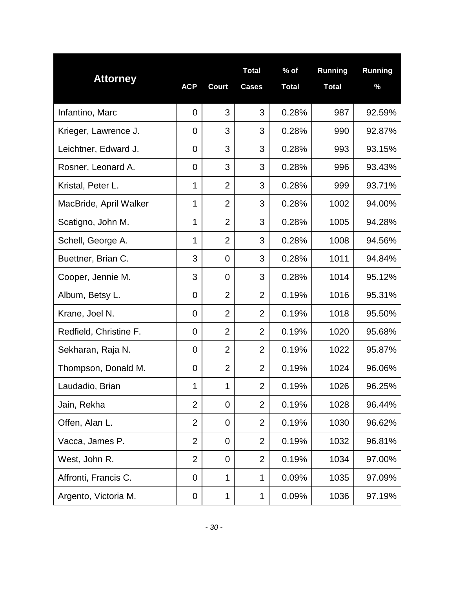| <b>Attorney</b>        |                |                | <b>Total</b>   | $%$ of       | Running      | Running |
|------------------------|----------------|----------------|----------------|--------------|--------------|---------|
|                        | <b>ACP</b>     | <b>Court</b>   | <b>Cases</b>   | <b>Total</b> | <b>Total</b> | %       |
| Infantino, Marc        | $\overline{0}$ | 3              | 3              | 0.28%        | 987          | 92.59%  |
| Krieger, Lawrence J.   | 0              | 3              | 3              | 0.28%        | 990          | 92.87%  |
| Leichtner, Edward J.   | 0              | 3              | 3              | 0.28%        | 993          | 93.15%  |
| Rosner, Leonard A.     | 0              | 3              | 3              | 0.28%        | 996          | 93.43%  |
| Kristal, Peter L.      | 1              | $\overline{2}$ | 3              | 0.28%        | 999          | 93.71%  |
| MacBride, April Walker | 1              | $\overline{2}$ | 3              | 0.28%        | 1002         | 94.00%  |
| Scatigno, John M.      | 1              | $\overline{2}$ | 3              | 0.28%        | 1005         | 94.28%  |
| Schell, George A.      | 1              | $\overline{2}$ | 3              | 0.28%        | 1008         | 94.56%  |
| Buettner, Brian C.     | 3              | $\Omega$       | 3              | 0.28%        | 1011         | 94.84%  |
| Cooper, Jennie M.      | 3              | $\mathbf 0$    | 3              | 0.28%        | 1014         | 95.12%  |
| Album, Betsy L.        | $\overline{0}$ | $\overline{2}$ | $\overline{2}$ | 0.19%        | 1016         | 95.31%  |
| Krane, Joel N.         | $\mathbf 0$    | $\overline{2}$ | $\overline{2}$ | 0.19%        | 1018         | 95.50%  |
| Redfield, Christine F. | $\mathbf 0$    | $\overline{2}$ | $\overline{2}$ | 0.19%        | 1020         | 95.68%  |
| Sekharan, Raja N.      | $\mathbf 0$    | $\overline{2}$ | $\overline{2}$ | 0.19%        | 1022         | 95.87%  |
| Thompson, Donald M.    | $\mathbf 0$    | $\overline{2}$ | $\overline{2}$ | 0.19%        | 1024         | 96.06%  |
| Laudadio, Brian        | 1              | 1              | $\overline{2}$ | 0.19%        | 1026         | 96.25%  |
| Jain, Rekha            | 2              | 0              | $\overline{2}$ | 0.19%        | 1028         | 96.44%  |
| Offen, Alan L.         | $\overline{2}$ | 0              | 2              | 0.19%        | 1030         | 96.62%  |
| Vacca, James P.        | $\overline{2}$ | 0              | $\overline{2}$ | 0.19%        | 1032         | 96.81%  |
| West, John R.          | $\overline{2}$ | 0              | 2              | 0.19%        | 1034         | 97.00%  |
| Affronti, Francis C.   | $\mathbf 0$    | 1              | 1              | 0.09%        | 1035         | 97.09%  |
| Argento, Victoria M.   | 0              | 1              | 1              | 0.09%        | 1036         | 97.19%  |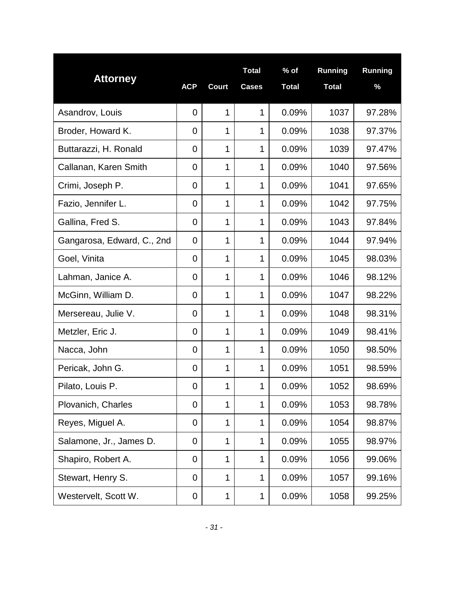| <b>Attorney</b>            | <b>ACP</b>     | <b>Court</b> | <b>Total</b><br><b>Cases</b> | $%$ of<br><b>Total</b> | <b>Running</b><br><b>Total</b> | Running<br>% |
|----------------------------|----------------|--------------|------------------------------|------------------------|--------------------------------|--------------|
| Asandrov, Louis            | $\overline{0}$ | 1            | $\mathbf 1$                  | 0.09%                  | 1037                           | 97.28%       |
| Broder, Howard K.          | 0              | 1            | 1                            | 0.09%                  | 1038                           | 97.37%       |
| Buttarazzi, H. Ronald      | 0              | 1            | 1                            | 0.09%                  | 1039                           | 97.47%       |
| Callanan, Karen Smith      | 0              | 1            | 1                            | 0.09%                  | 1040                           | 97.56%       |
| Crimi, Joseph P.           | 0              | 1            | $\mathbf 1$                  | 0.09%                  | 1041                           | 97.65%       |
| Fazio, Jennifer L.         | 0              | 1            | 1                            | 0.09%                  | 1042                           | 97.75%       |
| Gallina, Fred S.           | $\mathbf 0$    | 1            | $\mathbf 1$                  | 0.09%                  | 1043                           | 97.84%       |
| Gangarosa, Edward, C., 2nd | 0              | 1            | $\mathbf 1$                  | 0.09%                  | 1044                           | 97.94%       |
| Goel, Vinita               | $\mathbf 0$    | 1            | $\mathbf 1$                  | 0.09%                  | 1045                           | 98.03%       |
| Lahman, Janice A.          | $\overline{0}$ | 1            | 1                            | 0.09%                  | 1046                           | 98.12%       |
| McGinn, William D.         | $\mathbf 0$    | 1            | 1                            | 0.09%                  | 1047                           | 98.22%       |
| Mersereau, Julie V.        | $\mathbf 0$    | 1            | 1                            | 0.09%                  | 1048                           | 98.31%       |
| Metzler, Eric J.           | 0              | 1            | 1                            | 0.09%                  | 1049                           | 98.41%       |
| Nacca, John                | $\mathbf 0$    | 1            | 1                            | 0.09%                  | 1050                           | 98.50%       |
| Pericak, John G.           | $\mathbf 0$    | 1            | 1                            | 0.09%                  | 1051                           | 98.59%       |
| Pilato, Louis P            | $\overline{0}$ | 1            | 1                            | 0.09%                  | 1052                           | 98.69%       |
| Plovanich, Charles         | $\overline{0}$ | 1            | 1                            | 0.09%                  | 1053                           | 98.78%       |
| Reyes, Miguel A.           | 0              | 1            | 1                            | 0.09%                  | 1054                           | 98.87%       |
| Salamone, Jr., James D.    | 0              | 1            | 1                            | 0.09%                  | 1055                           | 98.97%       |
| Shapiro, Robert A.         | 0              | 1            | 1                            | 0.09%                  | 1056                           | 99.06%       |
| Stewart, Henry S.          | $\mathbf 0$    | 1            | 1                            | 0.09%                  | 1057                           | 99.16%       |
| Westervelt, Scott W.       | 0              | 1            | 1                            | 0.09%                  | 1058                           | 99.25%       |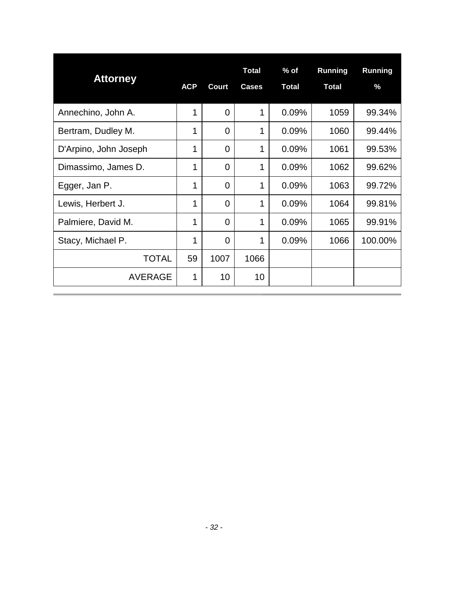|                       |            |                | <b>Total</b> | $%$ of       | <b>Running</b> | <b>Running</b> |
|-----------------------|------------|----------------|--------------|--------------|----------------|----------------|
| <b>Attorney</b>       | <b>ACP</b> | <b>Court</b>   | <b>Cases</b> | <b>Total</b> | <b>Total</b>   | $\%$           |
| Annechino, John A.    | 1          | $\Omega$       | 1            | 0.09%        | 1059           | 99.34%         |
| Bertram, Dudley M.    | 1          | $\overline{0}$ | 1            | 0.09%        | 1060           | 99.44%         |
| D'Arpino, John Joseph | 1          | $\Omega$       | 1            | 0.09%        | 1061           | 99.53%         |
| Dimassimo, James D.   | 1          | $\overline{0}$ | 1            | 0.09%        | 1062           | 99.62%         |
| Egger, Jan P.         | 1          | $\Omega$       | 1            | 0.09%        | 1063           | 99.72%         |
| Lewis, Herbert J.     | 1          | $\Omega$       | 1            | 0.09%        | 1064           | 99.81%         |
| Palmiere, David M.    | 1          | $\Omega$       | 1            | 0.09%        | 1065           | 99.91%         |
| Stacy, Michael P.     | 1          | $\Omega$       | 1            | 0.09%        | 1066           | 100.00%        |
| <b>TOTAL</b>          | 59         | 1007           | 1066         |              |                |                |
| <b>AVERAGE</b>        | 1          | 10             | 10           |              |                |                |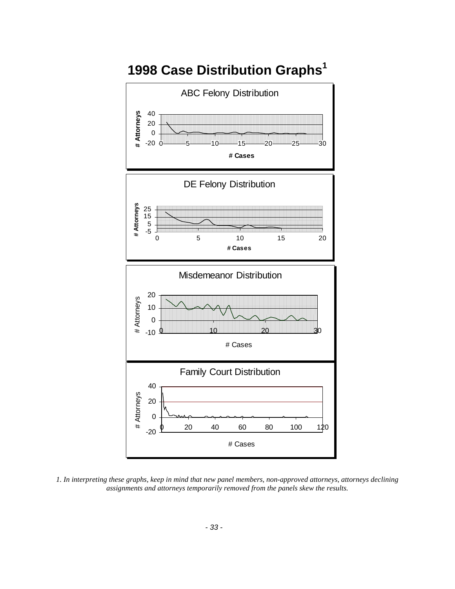<span id="page-34-0"></span>

*1. In interpreting these graphs, keep in mind that new panel members, non-approved attorneys, attorneys declining assignments and attorneys temporarily removed from the panels skew the results.*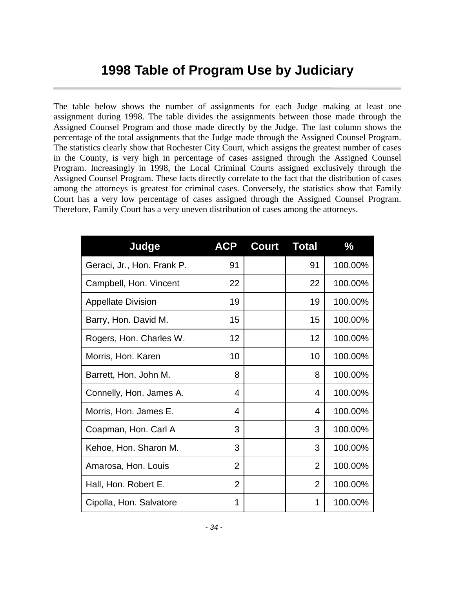### **1998 Table of Program Use by Judiciary**

<span id="page-35-0"></span>The table below shows the number of assignments for each Judge making at least one assignment during 1998. The table divides the assignments between those made through the Assigned Counsel Program and those made directly by the Judge. The last column shows the percentage of the total assignments that the Judge made through the Assigned Counsel Program. The statistics clearly show that Rochester City Court, which assigns the greatest number of cases in the County, is very high in percentage of cases assigned through the Assigned Counsel Program. Increasingly in 1998, the Local Criminal Courts assigned exclusively through the Assigned Counsel Program. These facts directly correlate to the fact that the distribution of cases among the attorneys is greatest for criminal cases. Conversely, the statistics show that Family Court has a very low percentage of cases assigned through the Assigned Counsel Program. Therefore, Family Court has a very uneven distribution of cases among the attorneys.

| Judge                      | <b>ACP</b>     | <b>Court</b> | <b>Total</b>   | $\frac{0}{0}$ |
|----------------------------|----------------|--------------|----------------|---------------|
| Geraci, Jr., Hon. Frank P. | 91             |              | 91             | 100.00%       |
| Campbell, Hon. Vincent     | 22             |              | 22             | 100.00%       |
| <b>Appellate Division</b>  | 19             |              | 19             | 100.00%       |
| Barry, Hon. David M.       | 15             |              | 15             | 100.00%       |
| Rogers, Hon. Charles W.    | 12             |              | 12             | 100.00%       |
| Morris, Hon. Karen         | 10             |              | 10             | 100.00%       |
| Barrett, Hon. John M.      | 8              |              | 8              | 100.00%       |
| Connelly, Hon. James A.    | 4              |              | 4              | 100.00%       |
| Morris, Hon. James E.      | 4              |              | 4              | 100.00%       |
| Coapman, Hon. Carl A       | 3              |              | 3              | 100.00%       |
| Kehoe, Hon. Sharon M.      | 3              |              | 3              | 100.00%       |
| Amarosa, Hon. Louis        | $\overline{2}$ |              | $\overline{2}$ | 100.00%       |
| Hall, Hon. Robert E.       | $\overline{2}$ |              | $\overline{2}$ | 100.00%       |
| Cipolla, Hon. Salvatore    | 1              |              | 1              | 100.00%       |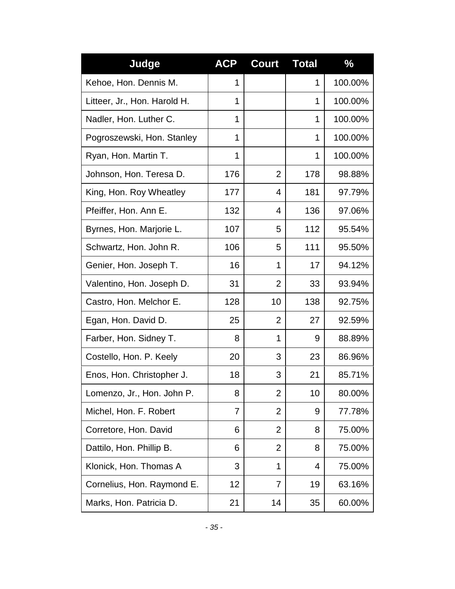| Judge                        | <b>ACP</b> | <b>Court</b>   | <b>Total</b> | $\frac{0}{0}$ |
|------------------------------|------------|----------------|--------------|---------------|
| Kehoe, Hon. Dennis M.        | 1          |                | 1            | 100.00%       |
| Litteer, Jr., Hon. Harold H. | 1          |                | 1            | 100.00%       |
| Nadler, Hon. Luther C.       | 1          |                | 1            | 100.00%       |
| Pogroszewski, Hon. Stanley   | 1          |                | 1            | 100.00%       |
| Ryan, Hon. Martin T.         | 1          |                | 1            | 100.00%       |
| Johnson, Hon. Teresa D.      | 176        | $\overline{2}$ | 178          | 98.88%        |
| King, Hon. Roy Wheatley      | 177        | 4              | 181          | 97.79%        |
| Pfeiffer, Hon. Ann E.        | 132        | 4              | 136          | 97.06%        |
| Byrnes, Hon. Marjorie L.     | 107        | 5              | 112          | 95.54%        |
| Schwartz, Hon. John R.       | 106        | 5              | 111          | 95.50%        |
| Genier, Hon. Joseph T.       | 16         | $\mathbf 1$    | 17           | 94.12%        |
| Valentino, Hon. Joseph D.    | 31         | $\overline{2}$ | 33           | 93.94%        |
| Castro, Hon. Melchor E.      | 128        | 10             | 138          | 92.75%        |
| Egan, Hon. David D.          | 25         | $\overline{2}$ | 27           | 92.59%        |
| Farber, Hon. Sidney T.       | 8          | $\mathbf 1$    | 9            | 88.89%        |
| Costello, Hon. P. Keely      | 20         | 3              | 23           | 86.96%        |
| Enos, Hon. Christopher J.    | 18         | 3              | 21           | 85.71%        |
| Lomenzo, Jr., Hon. John P.   | 8          | 2              | 10           | 80.00%        |
| Michel, Hon. F. Robert       | 7          | $\overline{2}$ | 9            | 77.78%        |
| Corretore, Hon. David        | 6          | $\overline{2}$ | 8            | 75.00%        |
| Dattilo, Hon. Phillip B.     | 6          | $\overline{2}$ | 8            | 75.00%        |
| Klonick, Hon. Thomas A       | 3          | 1              | 4            | 75.00%        |
| Cornelius, Hon. Raymond E.   | 12         | 7              | 19           | 63.16%        |
| Marks, Hon. Patricia D.      | 21         | 14             | 35           | 60.00%        |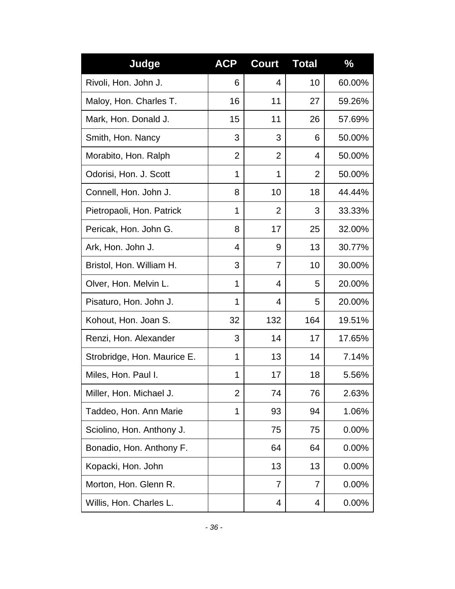| Judge                       | <b>ACP</b>     | <b>Court</b>   | <b>Total</b>   | $\frac{0}{6}$ |
|-----------------------------|----------------|----------------|----------------|---------------|
| Rivoli, Hon. John J.        | 6              | 4              | 10             | 60.00%        |
| Maloy, Hon. Charles T.      | 16             | 11             | 27             | 59.26%        |
| Mark, Hon. Donald J.        | 15             | 11             | 26             | 57.69%        |
| Smith, Hon. Nancy           | 3              | 3              | 6              | 50.00%        |
| Morabito, Hon. Ralph        | $\overline{2}$ | $\overline{2}$ | 4              | 50.00%        |
| Odorisi, Hon. J. Scott      | 1              | 1              | $\overline{2}$ | 50.00%        |
| Connell, Hon. John J.       | 8              | 10             | 18             | 44.44%        |
| Pietropaoli, Hon. Patrick   | 1              | $\overline{2}$ | 3              | 33.33%        |
| Pericak, Hon. John G.       | 8              | 17             | 25             | 32.00%        |
| Ark, Hon. John J.           | 4              | 9              | 13             | 30.77%        |
| Bristol, Hon. William H.    | 3              | 7              | 10             | 30.00%        |
| Olver, Hon. Melvin L.       | 1              | 4              | 5              | 20.00%        |
| Pisaturo, Hon. John J.      | 1              | 4              | 5              | 20.00%        |
| Kohout, Hon. Joan S.        | 32             | 132            | 164            | 19.51%        |
| Renzi, Hon. Alexander       | 3              | 14             | 17             | 17.65%        |
| Strobridge, Hon. Maurice E. | 1              | 13             | 14             | 7.14%         |
| Miles, Hon. Paul I.         | 1              | 17             | 18             | 5.56%         |
| Miller, Hon. Michael J.     | 2              | 74             | 76             | 2.63%         |
| Taddeo, Hon. Ann Marie      | 1              | 93             | 94             | 1.06%         |
| Sciolino, Hon. Anthony J.   |                | 75             | 75             | 0.00%         |
| Bonadio, Hon. Anthony F.    |                | 64             | 64             | 0.00%         |
| Kopacki, Hon. John          |                | 13             | 13             | 0.00%         |
| Morton, Hon. Glenn R.       |                | 7              | 7              | 0.00%         |
| Willis, Hon. Charles L.     |                | 4              | 4              | 0.00%         |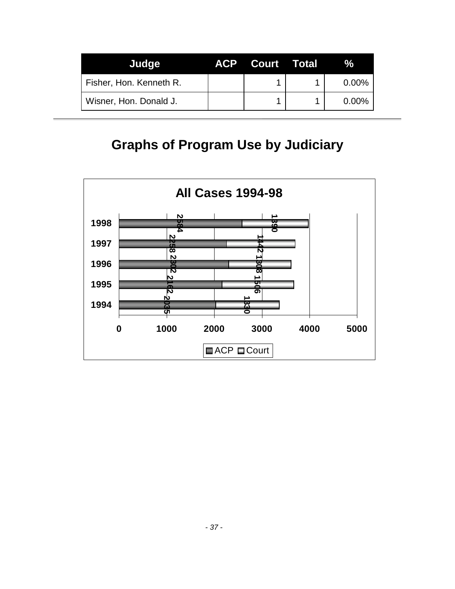<span id="page-38-0"></span>

| Judge                   | <b>ACP Court Total</b> |          |
|-------------------------|------------------------|----------|
| Fisher, Hon. Kenneth R. |                        | $0.00\%$ |
| Wisner, Hon. Donald J.  |                        | $0.00\%$ |

### **Graphs of Program Use by Judiciary**

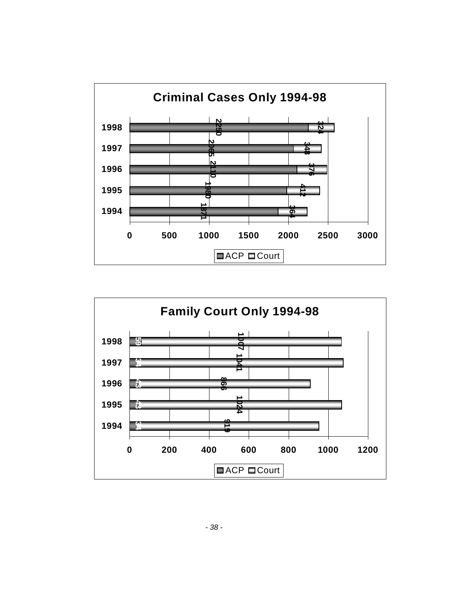

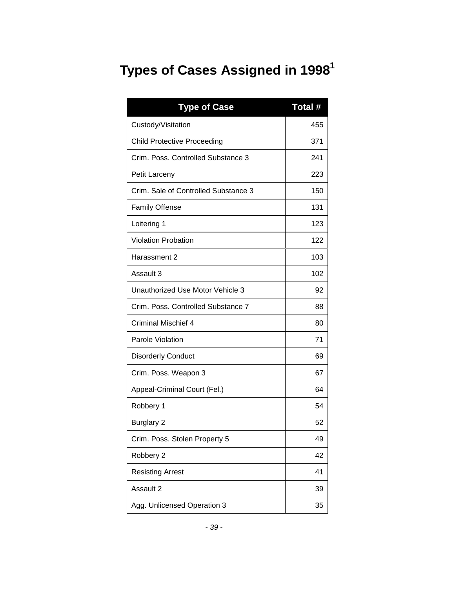# <span id="page-40-0"></span>**Types of Cases Assigned in 1998<sup>1</sup>**

| <b>Type of Case</b>                  | Total # |
|--------------------------------------|---------|
| Custody/Visitation                   | 455     |
| <b>Child Protective Proceeding</b>   | 371     |
| Crim. Poss. Controlled Substance 3   | 241     |
| Petit Larceny                        | 223     |
| Crim. Sale of Controlled Substance 3 | 150     |
| <b>Family Offense</b>                | 131     |
| Loitering 1                          | 123     |
| <b>Violation Probation</b>           | 122     |
| Harassment 2                         | 103     |
| Assault 3                            | 102     |
| Unauthorized Use Motor Vehicle 3     | 92      |
| Crim. Poss. Controlled Substance 7   | 88      |
| Criminal Mischief 4                  | 80      |
| Parole Violation                     | 71      |
| <b>Disorderly Conduct</b>            | 69      |
| Crim. Poss. Weapon 3                 | 67      |
| Appeal-Criminal Court (Fel.)         | 64      |
| Robbery 1                            | 54      |
| Burglary 2                           | 52      |
| Crim. Poss. Stolen Property 5        | 49      |
| Robbery 2                            | 42      |
| <b>Resisting Arrest</b>              | 41      |
| Assault 2                            | 39      |
| Agg. Unlicensed Operation 3          | 35      |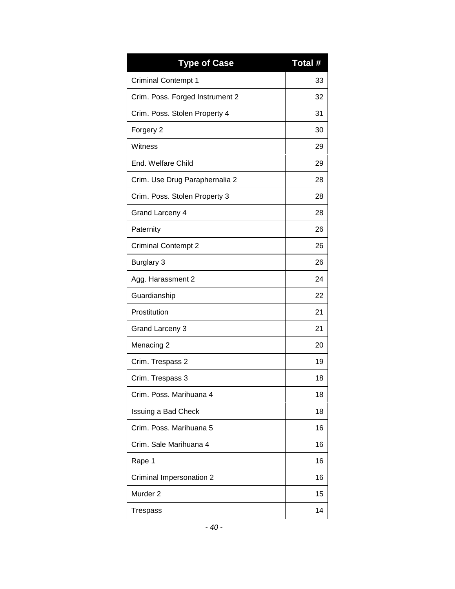| <b>Type of Case</b>             | Total # |
|---------------------------------|---------|
| <b>Criminal Contempt 1</b>      | 33      |
| Crim. Poss. Forged Instrument 2 | 32      |
| Crim. Poss. Stolen Property 4   | 31      |
| Forgery 2                       | 30      |
| Witness                         | 29      |
| End. Welfare Child              | 29      |
| Crim. Use Drug Paraphernalia 2  | 28      |
| Crim. Poss. Stolen Property 3   | 28      |
| <b>Grand Larceny 4</b>          | 28      |
| Paternity                       | 26      |
| <b>Criminal Contempt 2</b>      | 26      |
| <b>Burglary 3</b>               | 26      |
| Agg. Harassment 2               | 24      |
| Guardianship                    | 22      |
| Prostitution                    | 21      |
| <b>Grand Larceny 3</b>          | 21      |
| Menacing 2                      | 20      |
| Crim. Trespass 2                | 19      |
| Crim. Trespass 3                | 18      |
| Crim. Poss. Marihuana 4         | 18      |
| Issuing a Bad Check             | 18      |
| Crim. Poss. Marihuana 5         | 16      |
| Crim. Sale Marihuana 4          | 16      |
| Rape 1                          | 16      |
| Criminal Impersonation 2        | 16      |
| Murder <sub>2</sub>             | 15      |
| Trespass                        | 14      |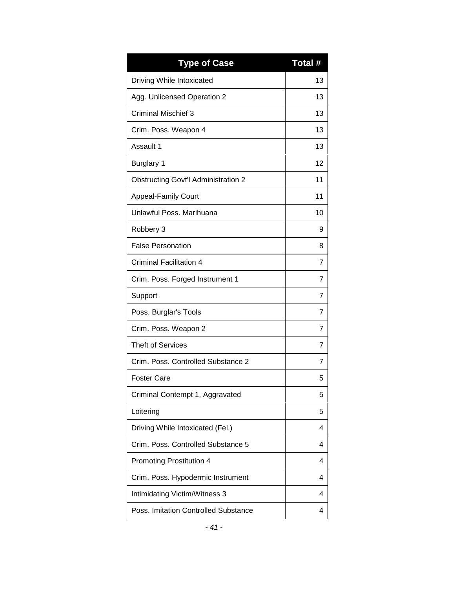| <b>Type of Case</b>                        | Total # |
|--------------------------------------------|---------|
| Driving While Intoxicated                  | 13      |
| Agg. Unlicensed Operation 2                | 13      |
| Criminal Mischief 3                        | 13      |
| Crim. Poss. Weapon 4                       | 13      |
| Assault 1                                  | 13      |
| <b>Burglary 1</b>                          | 12      |
| <b>Obstructing Govt'l Administration 2</b> | 11      |
| <b>Appeal-Family Court</b>                 | 11      |
| Unlawful Poss, Marihuana                   | 10      |
| Robbery 3                                  | 9       |
| <b>False Personation</b>                   | 8       |
| <b>Criminal Facilitation 4</b>             | 7       |
| Crim. Poss. Forged Instrument 1            | 7       |
| Support                                    | 7       |
| Poss. Burglar's Tools                      | 7       |
| Crim. Poss. Weapon 2                       | 7       |
| <b>Theft of Services</b>                   | 7       |
| Crim. Poss. Controlled Substance 2         | 7       |
| <b>Foster Care</b>                         | 5       |
| Criminal Contempt 1, Aggravated            | 5       |
| Loitering                                  | 5       |
| Driving While Intoxicated (Fel.)           | 4       |
| Crim. Poss. Controlled Substance 5         | 4       |
| Promoting Prostitution 4                   | 4       |
| Crim. Poss. Hypodermic Instrument          | 4       |
| Intimidating Victim/Witness 3              | 4       |
| Poss. Imitation Controlled Substance       | 4       |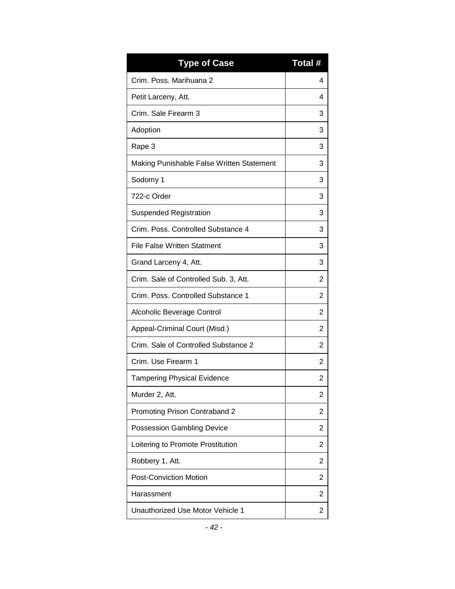| <b>Type of Case</b>                       | Total # |
|-------------------------------------------|---------|
| Crim. Poss. Marihuana 2                   | 4       |
| Petit Larceny, Att.                       | 4       |
| Crim. Sale Firearm 3                      | 3       |
| Adoption                                  | 3       |
| Rape 3                                    | 3       |
| Making Punishable False Written Statement | 3       |
| Sodomy 1                                  | 3       |
| 722-c Order                               | 3       |
| <b>Suspended Registration</b>             | 3       |
| Crim. Poss. Controlled Substance 4        | 3       |
| <b>File False Written Statment</b>        | 3       |
| Grand Larceny 4, Att.                     | 3       |
| Crim. Sale of Controlled Sub. 3, Att.     | 2       |
| Crim. Poss. Controlled Substance 1        | 2       |
| Alcoholic Beverage Control                | 2       |
| Appeal-Criminal Court (Misd.)             | 2       |
| Crim. Sale of Controlled Substance 2      | 2       |
| Crim. Use Firearm 1                       | 2       |
| <b>Tampering Physical Evidence</b>        | 2       |
| Murder 2, Att.                            | 2       |
| Promoting Prison Contraband 2             | 2       |
| <b>Possession Gambling Device</b>         | 2       |
| Loitering to Promote Prostitution         | 2       |
| Robbery 1, Att.                           | 2       |
| <b>Post-Conviction Motion</b>             | 2       |
| Harassment                                | 2       |
| Unauthorized Use Motor Vehicle 1          | 2       |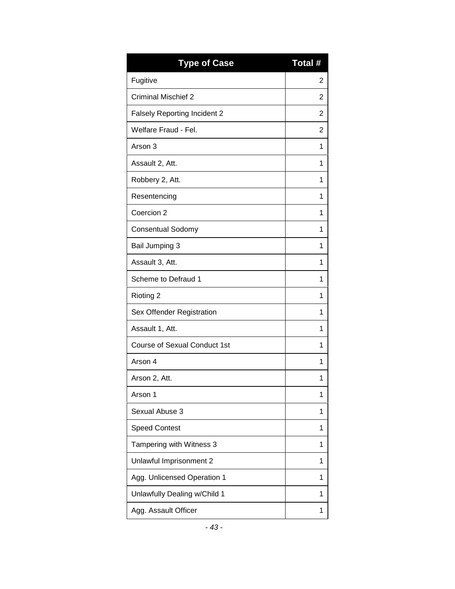| <b>Type of Case</b>                 | Total # |
|-------------------------------------|---------|
| Fugitive                            | 2       |
| <b>Criminal Mischief 2</b>          | 2       |
| <b>Falsely Reporting Incident 2</b> | 2       |
| Welfare Fraud - Fel.                | 2       |
| Arson 3                             | 1       |
| Assault 2, Att.                     | 1       |
| Robbery 2, Att.                     | 1       |
| Resentencing                        | 1       |
| Coercion 2                          | 1       |
| <b>Consentual Sodomy</b>            | 1       |
| Bail Jumping 3                      | 1       |
| Assault 3, Att.                     | 1       |
| Scheme to Defraud 1                 | 1       |
| Rioting 2                           | 1       |
| Sex Offender Registration           | 1       |
| Assault 1, Att.                     | 1       |
| <b>Course of Sexual Conduct 1st</b> | 1       |
| Arson 4                             | 1       |
| Arson 2, Att.                       | 1       |
| Arson 1                             | 1       |
| Sexual Abuse 3                      | 1       |
| <b>Speed Contest</b>                | 1       |
| Tampering with Witness 3            | 1       |
| Unlawful Imprisonment 2             | 1       |
| Agg. Unlicensed Operation 1         | 1       |
| Unlawfully Dealing w/Child 1        | 1       |
| Agg. Assault Officer                | 1       |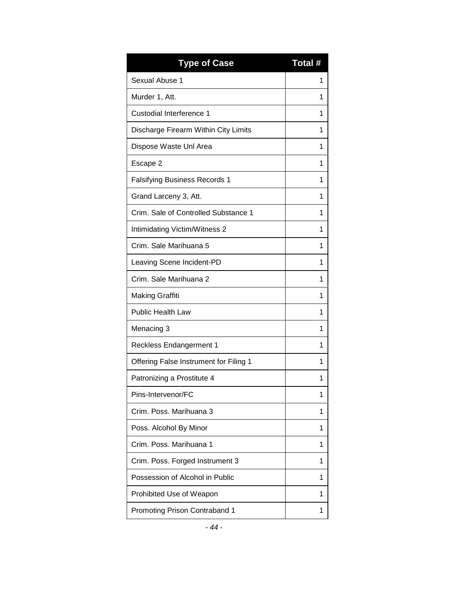| <b>Type of Case</b>                    | Total # |
|----------------------------------------|---------|
| Sexual Abuse 1                         | 1       |
| Murder 1, Att.                         | 1       |
| Custodial Interference 1               | 1       |
| Discharge Firearm Within City Limits   | 1       |
| Dispose Waste Unl Area                 | 1       |
| Escape 2                               | 1       |
| <b>Falsifying Business Records 1</b>   | 1       |
| Grand Larceny 3, Att.                  | 1       |
| Crim. Sale of Controlled Substance 1   | 1       |
| Intimidating Victim/Witness 2          | 1       |
| Crim. Sale Marihuana 5                 | 1       |
| Leaving Scene Incident-PD              | 1       |
| Crim. Sale Marihuana 2                 | 1       |
| <b>Making Graffiti</b>                 | 1       |
| <b>Public Health Law</b>               | 1       |
| Menacing 3                             | 1       |
| <b>Reckless Endangerment 1</b>         | 1       |
| Offering False Instrument for Filing 1 | 1       |
| Patronizing a Prostitute 4             | 1       |
| Pins-Intervenor/FC                     | 1       |
| Crim. Poss. Marihuana 3                | 1       |
| Poss. Alcohol By Minor                 | 1       |
| Crim, Poss, Marihuana 1                | 1       |
| Crim. Poss. Forged Instrument 3        | 1       |
| Possession of Alcohol in Public        | 1       |
| Prohibited Use of Weapon               | 1       |
| Promoting Prison Contraband 1          | 1       |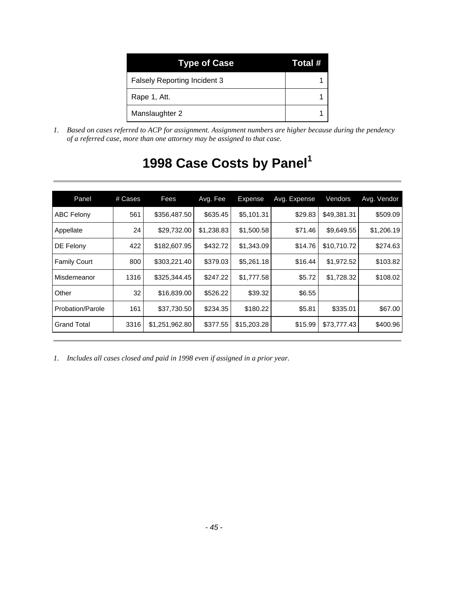| <b>Type of Case</b>                 | Total # |
|-------------------------------------|---------|
| <b>Falsely Reporting Incident 3</b> |         |
| Rape 1, Att.                        |         |
| Manslaughter 2                      |         |

<span id="page-46-0"></span>*1. Based on cases referred to ACP for assignment. Assignment numbers are higher because during the pendency of a referred case, more than one attorney may be assigned to that case.*

| Panel               | # Cases | Fees           | Avg. Fee   | Expense     | Avg. Expense | Vendors     | Avg. Vendor |
|---------------------|---------|----------------|------------|-------------|--------------|-------------|-------------|
| <b>ABC Felony</b>   | 561     | \$356,487.50   | \$635.45   | \$5,101.31  | \$29.83      | \$49,381.31 | \$509.09    |
| Appellate           | 24      | \$29,732.00    | \$1,238.83 | \$1,500.58  | \$71.46      | \$9,649.55  | \$1,206.19  |
| DE Felony           | 422     | \$182,607.95   | \$432.72   | \$1,343.09  | \$14.76      | \$10,710.72 | \$274.63    |
| <b>Family Court</b> | 800     | \$303,221.40   | \$379.03   | \$5,261.18  | \$16.44      | \$1,972.52  | \$103.82    |
| Misdemeanor         | 1316    | \$325,344.45   | \$247.22   | \$1,777.58  | \$5.72       | \$1,728.32  | \$108.02    |
| Other               | 32      | \$16,839.00    | \$526.22   | \$39.32     | \$6.55       |             |             |
| Probation/Parole    | 161     | \$37,730.50    | \$234.35   | \$180.22    | \$5.81       | \$335.01    | \$67.00     |
| <b>Grand Total</b>  | 3316    | \$1,251,962.80 | \$377.55   | \$15,203.28 | \$15.99      | \$73,777.43 | \$400.96    |

# **1998 Case Costs by Panel<sup>1</sup>**

*1. Includes all cases closed and paid in 1998 even if assigned in a prior year.*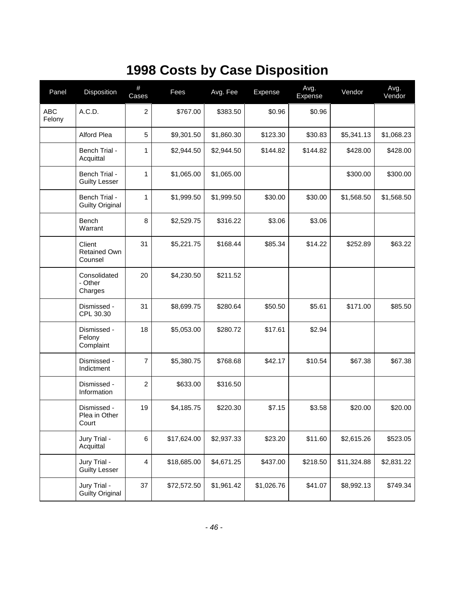# **1998 Costs by Case Disposition**

<span id="page-47-0"></span>

| Panel                | Disposition                              | $\#$<br>Cases  | Fees        | Avg. Fee   | Expense    | Avg.<br>Expense | Vendor      | Avg.<br>Vendor |
|----------------------|------------------------------------------|----------------|-------------|------------|------------|-----------------|-------------|----------------|
| <b>ABC</b><br>Felony | A.C.D.                                   | $\overline{c}$ | \$767.00    | \$383.50   | \$0.96     | \$0.96          |             |                |
|                      | Alford Plea                              | 5              | \$9,301.50  | \$1,860.30 | \$123.30   | \$30.83         | \$5,341.13  | \$1,068.23     |
|                      | Bench Trial -<br>Acquittal               | 1              | \$2,944.50  | \$2,944.50 | \$144.82   | \$144.82        | \$428.00    | \$428.00       |
|                      | Bench Trial -<br><b>Guilty Lesser</b>    | $\mathbf{1}$   | \$1,065.00  | \$1,065.00 |            |                 | \$300.00    | \$300.00       |
|                      | Bench Trial -<br><b>Guilty Original</b>  | $\mathbf{1}$   | \$1,999.50  | \$1,999.50 | \$30.00    | \$30.00         | \$1,568.50  | \$1,568.50     |
|                      | <b>Bench</b><br>Warrant                  | 8              | \$2,529.75  | \$316.22   | \$3.06     | \$3.06          |             |                |
|                      | Client<br><b>Retained Own</b><br>Counsel | 31             | \$5,221.75  | \$168.44   | \$85.34    | \$14.22         | \$252.89    | \$63.22        |
|                      | Consolidated<br>- Other<br>Charges       | 20             | \$4,230.50  | \$211.52   |            |                 |             |                |
|                      | Dismissed -<br>CPL 30.30                 | 31             | \$8,699.75  | \$280.64   | \$50.50    | \$5.61          | \$171.00    | \$85.50        |
|                      | Dismissed -<br>Felony<br>Complaint       | 18             | \$5,053.00  | \$280.72   | \$17.61    | \$2.94          |             |                |
|                      | Dismissed -<br>Indictment                | $\overline{7}$ | \$5,380.75  | \$768.68   | \$42.17    | \$10.54         | \$67.38     | \$67.38        |
|                      | Dismissed -<br>Information               | $\overline{2}$ | \$633.00    | \$316.50   |            |                 |             |                |
|                      | Dismissed -<br>Plea in Other<br>Court    | 19             | \$4,185.75  | \$220.30   | \$7.15     | \$3.58          | \$20.00     | \$20.00        |
|                      | Jury Trial -<br>Acquittal                | 6              | \$17,624.00 | \$2,937.33 | \$23.20    | \$11.60         | \$2,615.26  | \$523.05       |
|                      | Jury Trial -<br><b>Guilty Lesser</b>     | 4              | \$18,685.00 | \$4,671.25 | \$437.00   | \$218.50        | \$11,324.88 | \$2,831.22     |
|                      | Jury Trial -<br><b>Guilty Original</b>   | 37             | \$72,572.50 | \$1,961.42 | \$1,026.76 | \$41.07         | \$8,992.13  | \$749.34       |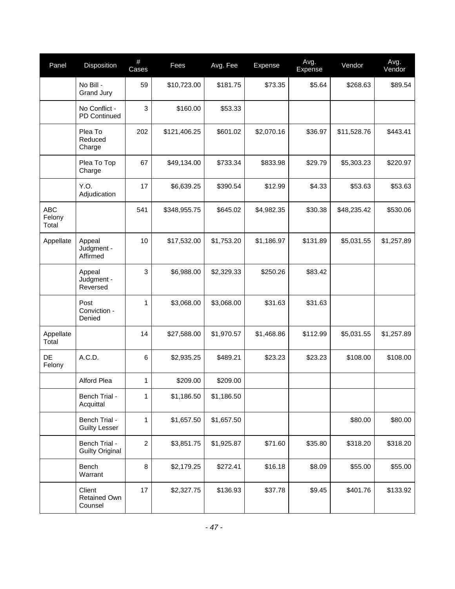| Panel                         | Disposition                             | #<br>Cases              | Fees         | Avg. Fee   | Expense    | Avg.<br>Expense | Vendor      | Avg.<br>Vendor |
|-------------------------------|-----------------------------------------|-------------------------|--------------|------------|------------|-----------------|-------------|----------------|
|                               | No Bill -<br>Grand Jury                 | 59                      | \$10,723.00  | \$181.75   | \$73.35    | \$5.64          | \$268.63    | \$89.54        |
|                               | No Conflict -<br>PD Continued           | 3                       | \$160.00     | \$53.33    |            |                 |             |                |
|                               | Plea To<br>Reduced<br>Charge            | 202                     | \$121,406.25 | \$601.02   | \$2,070.16 | \$36.97         | \$11,528.76 | \$443.41       |
|                               | Plea To Top<br>Charge                   | 67                      | \$49,134.00  | \$733.34   | \$833.98   | \$29.79         | \$5,303.23  | \$220.97       |
|                               | Y.O.<br>Adjudication                    | 17                      | \$6,639.25   | \$390.54   | \$12.99    | \$4.33          | \$53.63     | \$53.63        |
| <b>ABC</b><br>Felony<br>Total |                                         | 541                     | \$348,955.75 | \$645.02   | \$4,982.35 | \$30.38         | \$48,235.42 | \$530.06       |
| Appellate                     | Appeal<br>Judgment -<br>Affirmed        | 10                      | \$17,532.00  | \$1,753.20 | \$1,186.97 | \$131.89        | \$5,031.55  | \$1,257.89     |
|                               | Appeal<br>Judgment -<br>Reversed        | 3                       | \$6,988.00   | \$2,329.33 | \$250.26   | \$83.42         |             |                |
|                               | Post<br>Conviction -<br>Denied          | $\mathbf{1}$            | \$3,068.00   | \$3,068.00 | \$31.63    | \$31.63         |             |                |
| Appellate<br>Total            |                                         | 14                      | \$27,588.00  | \$1,970.57 | \$1,468.86 | \$112.99        | \$5,031.55  | \$1,257.89     |
| DE<br>Felony                  | A.C.D.                                  | 6                       | \$2,935.25   | \$489.21   | \$23.23    | \$23.23         | \$108.00    | \$108.00       |
|                               | Alford Plea                             | 1                       | \$209.00     | \$209.00   |            |                 |             |                |
|                               | Bench Trial -<br>Acquittal              | 1                       | \$1,186.50   | \$1,186.50 |            |                 |             |                |
|                               | Bench Trial -<br><b>Guilty Lesser</b>   | 1                       | \$1,657.50   | \$1,657.50 |            |                 | \$80.00     | \$80.00        |
|                               | Bench Trial -<br><b>Guilty Original</b> | $\overline{\mathbf{c}}$ | \$3,851.75   | \$1,925.87 | \$71.60    | \$35.80         | \$318.20    | \$318.20       |
|                               | Bench<br>Warrant                        | 8                       | \$2,179.25   | \$272.41   | \$16.18    | \$8.09          | \$55.00     | \$55.00        |
|                               | Client<br>Retained Own<br>Counsel       | 17                      | \$2,327.75   | \$136.93   | \$37.78    | \$9.45          | \$401.76    | \$133.92       |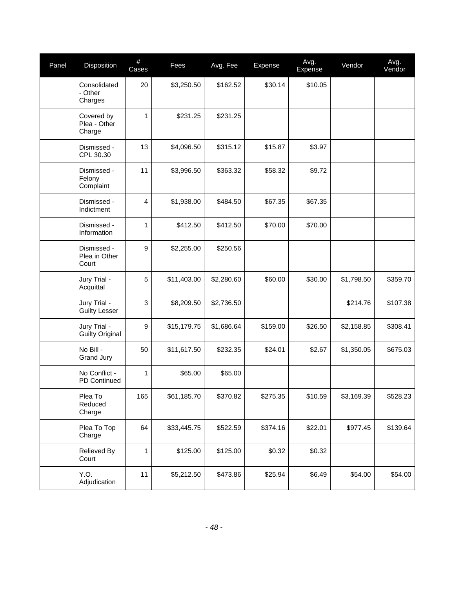| Panel | Disposition                            | $\#$<br>Cases  | Fees        | Avg. Fee   | Expense  | Avg.<br>Expense | Vendor     | Avg.<br>Vendor |
|-------|----------------------------------------|----------------|-------------|------------|----------|-----------------|------------|----------------|
|       | Consolidated<br>- Other<br>Charges     | 20             | \$3,250.50  | \$162.52   | \$30.14  | \$10.05         |            |                |
|       | Covered by<br>Plea - Other<br>Charge   | $\mathbf{1}$   | \$231.25    | \$231.25   |          |                 |            |                |
|       | Dismissed -<br>CPL 30.30               | 13             | \$4,096.50  | \$315.12   | \$15.87  | \$3.97          |            |                |
|       | Dismissed -<br>Felony<br>Complaint     | 11             | \$3,996.50  | \$363.32   | \$58.32  | \$9.72          |            |                |
|       | Dismissed -<br>Indictment              | $\overline{4}$ | \$1,938.00  | \$484.50   | \$67.35  | \$67.35         |            |                |
|       | Dismissed -<br>Information             | $\mathbf{1}$   | \$412.50    | \$412.50   | \$70.00  | \$70.00         |            |                |
|       | Dismissed -<br>Plea in Other<br>Court  | 9              | \$2,255.00  | \$250.56   |          |                 |            |                |
|       | Jury Trial -<br>Acquittal              | 5              | \$11,403.00 | \$2,280.60 | \$60.00  | \$30.00         | \$1,798.50 | \$359.70       |
|       | Jury Trial -<br><b>Guilty Lesser</b>   | 3              | \$8,209.50  | \$2,736.50 |          |                 | \$214.76   | \$107.38       |
|       | Jury Trial -<br><b>Guilty Original</b> | 9              | \$15,179.75 | \$1,686.64 | \$159.00 | \$26.50         | \$2,158.85 | \$308.41       |
|       | No Bill -<br>Grand Jury                | 50             | \$11,617.50 | \$232.35   | \$24.01  | \$2.67          | \$1,350.05 | \$675.03       |
|       | No Conflict -<br>PD Continued          | 1              | \$65.00     | \$65.00    |          |                 |            |                |
|       | Plea To<br>Reduced<br>Charge           | 165            | \$61,185.70 | \$370.82   | \$275.35 | \$10.59         | \$3,169.39 | \$528.23       |
|       | Plea To Top<br>Charge                  | 64             | \$33,445.75 | \$522.59   | \$374.16 | \$22.01         | \$977.45   | \$139.64       |
|       | Relieved By<br>Court                   | $\mathbf{1}$   | \$125.00    | \$125.00   | \$0.32   | \$0.32          |            |                |
|       | Y.O.<br>Adjudication                   | 11             | \$5,212.50  | \$473.86   | \$25.94  | \$6.49          | \$54.00    | \$54.00        |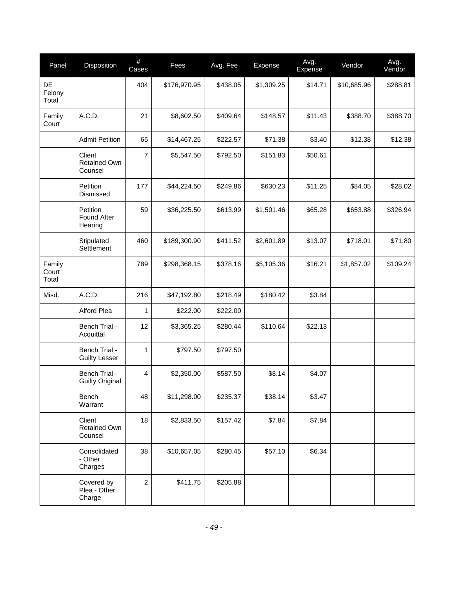| Panel                    | Disposition                              | #<br>Cases     | Fees         | Avg. Fee | Expense    | Avg.<br>Expense | Vendor      | Avg.<br>Vendor |
|--------------------------|------------------------------------------|----------------|--------------|----------|------------|-----------------|-------------|----------------|
| DE<br>Felony<br>Total    |                                          | 404            | \$176,970.95 | \$438.05 | \$1,309.25 | \$14.71         | \$10,685.96 | \$288.81       |
| Family<br>Court          | A.C.D.                                   | 21             | \$8,602.50   | \$409.64 | \$148.57   | \$11.43         | \$388.70    | \$388.70       |
|                          | <b>Admit Petition</b>                    | 65             | \$14,467.25  | \$222.57 | \$71.38    | \$3.40          | \$12.38     | \$12.38        |
|                          | Client<br><b>Retained Own</b><br>Counsel | $\overline{7}$ | \$5,547.50   | \$792.50 | \$151.83   | \$50.61         |             |                |
|                          | Petition<br>Dismissed                    | 177            | \$44,224.50  | \$249.86 | \$630.23   | \$11.25         | \$84.05     | \$28.02        |
|                          | Petition<br>Found After<br>Hearing       | 59             | \$36,225.50  | \$613.99 | \$1,501.46 | \$65.28         | \$653.88    | \$326.94       |
|                          | Stipulated<br>Settlement                 | 460            | \$189,300.90 | \$411.52 | \$2,601.89 | \$13.07         | \$718.01    | \$71.80        |
| Family<br>Court<br>Total |                                          | 789            | \$298,368.15 | \$378.16 | \$5,105.36 | \$16.21         | \$1,857.02  | \$109.24       |
| Misd.                    | A.C.D.                                   | 216            | \$47,192.80  | \$218.49 | \$180.42   | \$3.84          |             |                |
|                          | Alford Plea                              | 1              | \$222.00     | \$222.00 |            |                 |             |                |
|                          | Bench Trial -<br>Acquittal               | 12             | \$3,365.25   | \$280.44 | \$110.64   | \$22.13         |             |                |
|                          | Bench Trial -<br><b>Guilty Lesser</b>    | 1              | \$797.50     | \$797.50 |            |                 |             |                |
|                          | Bench Trial -<br><b>Guilty Original</b>  | 4              | \$2,350.00   | \$587.50 | \$8.14     | \$4.07          |             |                |
|                          | Bench<br>Warrant                         | 48             | \$11,298.00  | \$235.37 | \$38.14    | \$3.47          |             |                |
|                          | Client<br>Retained Own<br>Counsel        | 18             | \$2,833.50   | \$157.42 | \$7.84     | \$7.84          |             |                |
|                          | Consolidated<br>- Other<br>Charges       | 38             | \$10,657.05  | \$280.45 | \$57.10    | \$6.34          |             |                |
|                          | Covered by<br>Plea - Other<br>Charge     | $\overline{2}$ | \$411.75     | \$205.88 |            |                 |             |                |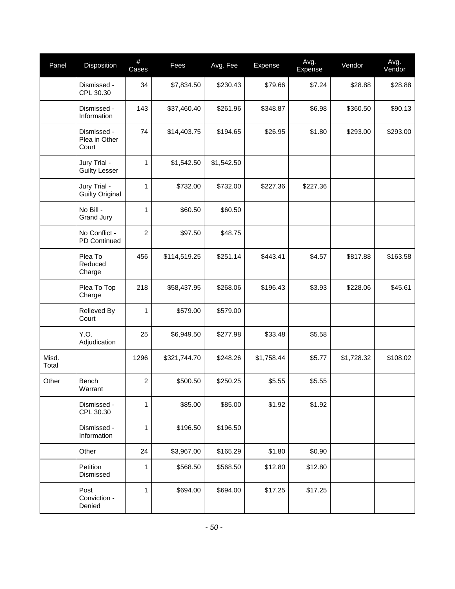| Panel          | Disposition                            | $\#$<br>Cases  | Fees         | Avg. Fee   | Expense    | Avg.<br>Expense | Vendor     | Avg.<br>Vendor |
|----------------|----------------------------------------|----------------|--------------|------------|------------|-----------------|------------|----------------|
|                | Dismissed -<br>CPL 30.30               | 34             | \$7,834.50   | \$230.43   | \$79.66    | \$7.24          | \$28.88    | \$28.88        |
|                | Dismissed -<br>Information             | 143            | \$37,460.40  | \$261.96   | \$348.87   | \$6.98          | \$360.50   | \$90.13        |
|                | Dismissed -<br>Plea in Other<br>Court  | 74             | \$14,403.75  | \$194.65   | \$26.95    | \$1.80          | \$293.00   | \$293.00       |
|                | Jury Trial -<br><b>Guilty Lesser</b>   | 1              | \$1,542.50   | \$1,542.50 |            |                 |            |                |
|                | Jury Trial -<br><b>Guilty Original</b> | $\mathbf{1}$   | \$732.00     | \$732.00   | \$227.36   | \$227.36        |            |                |
|                | No Bill -<br>Grand Jury                | $\mathbf{1}$   | \$60.50      | \$60.50    |            |                 |            |                |
|                | No Conflict -<br>PD Continued          | $\overline{c}$ | \$97.50      | \$48.75    |            |                 |            |                |
|                | Plea To<br>Reduced<br>Charge           | 456            | \$114,519.25 | \$251.14   | \$443.41   | \$4.57          | \$817.88   | \$163.58       |
|                | Plea To Top<br>Charge                  | 218            | \$58,437.95  | \$268.06   | \$196.43   | \$3.93          | \$228.06   | \$45.61        |
|                | Relieved By<br>Court                   | 1              | \$579.00     | \$579.00   |            |                 |            |                |
|                | Y.O.<br>Adjudication                   | 25             | \$6,949.50   | \$277.98   | \$33.48    | \$5.58          |            |                |
| Misd.<br>Total |                                        | 1296           | \$321,744.70 | \$248.26   | \$1,758.44 | \$5.77          | \$1,728.32 | \$108.02       |
| Other          | Bench<br>Warrant                       | $\overline{c}$ | \$500.50     | \$250.25   | \$5.55     | \$5.55          |            |                |
|                | Dismissed -<br>CPL 30.30               | 1              | \$85.00      | \$85.00    | \$1.92     | \$1.92          |            |                |
|                | Dismissed -<br>Information             | $\mathbf{1}$   | \$196.50     | \$196.50   |            |                 |            |                |
|                | Other                                  | 24             | \$3,967.00   | \$165.29   | \$1.80     | \$0.90          |            |                |
|                | Petition<br>Dismissed                  | 1              | \$568.50     | \$568.50   | \$12.80    | \$12.80         |            |                |
|                | Post<br>Conviction -<br>Denied         | 1              | \$694.00     | \$694.00   | \$17.25    | \$17.25         |            |                |